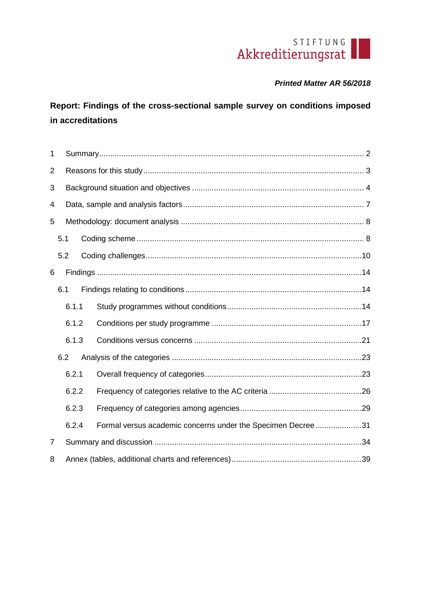# STIFTUNG

# *Printed Matter AR 56/2018*

**Report: Findings of the cross-sectional sample survey on conditions imposed in accreditations**

| $\mathbf{1}$   |       |  |                                                             |  |  |  |  |  |  |
|----------------|-------|--|-------------------------------------------------------------|--|--|--|--|--|--|
| 2              |       |  |                                                             |  |  |  |  |  |  |
| 3              |       |  |                                                             |  |  |  |  |  |  |
| 4              |       |  |                                                             |  |  |  |  |  |  |
| 5              |       |  |                                                             |  |  |  |  |  |  |
|                | 5.1   |  |                                                             |  |  |  |  |  |  |
|                | 5.2   |  |                                                             |  |  |  |  |  |  |
| 6              |       |  |                                                             |  |  |  |  |  |  |
|                | 6.1   |  |                                                             |  |  |  |  |  |  |
|                | 6.1.1 |  |                                                             |  |  |  |  |  |  |
|                | 6.1.2 |  |                                                             |  |  |  |  |  |  |
|                | 6.1.3 |  |                                                             |  |  |  |  |  |  |
|                | 6.2   |  |                                                             |  |  |  |  |  |  |
|                | 6.2.1 |  |                                                             |  |  |  |  |  |  |
|                | 6.2.2 |  |                                                             |  |  |  |  |  |  |
|                | 6.2.3 |  |                                                             |  |  |  |  |  |  |
|                | 6.2.4 |  | Formal versus academic concerns under the Specimen Decree31 |  |  |  |  |  |  |
| $\overline{7}$ |       |  |                                                             |  |  |  |  |  |  |
| 8              |       |  |                                                             |  |  |  |  |  |  |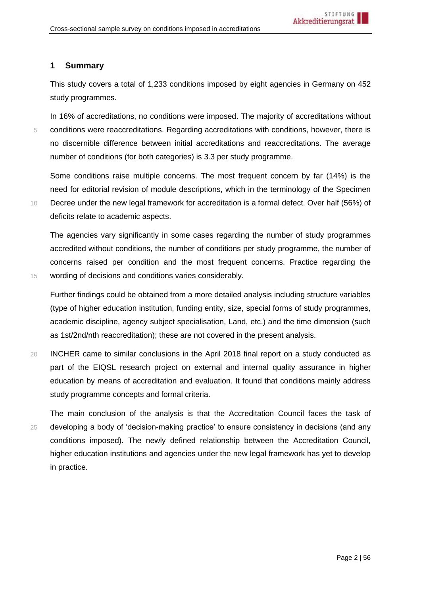## <span id="page-1-0"></span>**1 Summary**

This study covers a total of 1,233 conditions imposed by eight agencies in Germany on 452 study programmes.

In 16% of accreditations, no conditions were imposed. The majority of accreditations without 5 conditions were reaccreditations. Regarding accreditations with conditions, however, there is no discernible difference between initial accreditations and reaccreditations. The average number of conditions (for both categories) is 3.3 per study programme.

Some conditions raise multiple concerns. The most frequent concern by far (14%) is the need for editorial revision of module descriptions, which in the terminology of the Specimen 10 Decree under the new legal framework for accreditation is a formal defect. Over half (56%) of deficits relate to academic aspects.

The agencies vary significantly in some cases regarding the number of study programmes accredited without conditions, the number of conditions per study programme, the number of concerns raised per condition and the most frequent concerns. Practice regarding the 15 wording of decisions and conditions varies considerably.

Further findings could be obtained from a more detailed analysis including structure variables (type of higher education institution, funding entity, size, special forms of study programmes, academic discipline, agency subject specialisation, Land, etc.) and the time dimension (such as 1st/2nd/nth reaccreditation); these are not covered in the present analysis.

20 INCHER came to similar conclusions in the April 2018 final report on a study conducted as part of the EIQSL research project on external and internal quality assurance in higher education by means of accreditation and evaluation. It found that conditions mainly address study programme concepts and formal criteria.

The main conclusion of the analysis is that the Accreditation Council faces the task of 25 developing a body of 'decision-making practice' to ensure consistency in decisions (and any conditions imposed). The newly defined relationship between the Accreditation Council, higher education institutions and agencies under the new legal framework has yet to develop in practice.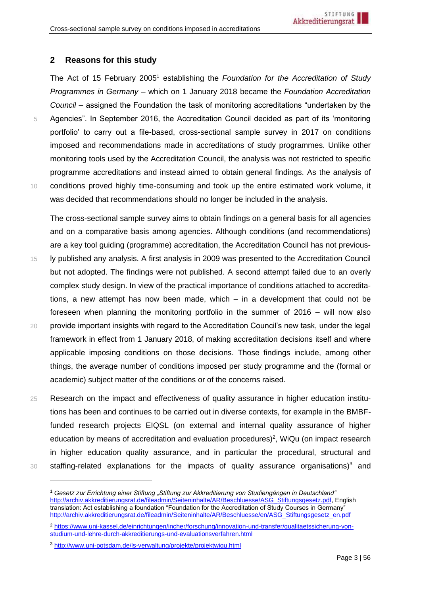## <span id="page-2-0"></span>**2 Reasons for this study**

The Act of 15 February 2005<sup>1</sup> establishing the *Foundation for the Accreditation of Study Programmes in Germany –* which on 1 January 2018 became the *Foundation Accreditation Council* – assigned the Foundation the task of monitoring accreditations "undertaken by the 5 Agencies". In September 2016, the Accreditation Council decided as part of its 'monitoring portfolio' to carry out a file-based, cross-sectional sample survey in 2017 on conditions imposed and recommendations made in accreditations of study programmes. Unlike other monitoring tools used by the Accreditation Council, the analysis was not restricted to specific programme accreditations and instead aimed to obtain general findings. As the analysis of 10 conditions proved highly time-consuming and took up the entire estimated work volume, it was decided that recommendations should no longer be included in the analysis.

The cross-sectional sample survey aims to obtain findings on a general basis for all agencies and on a comparative basis among agencies. Although conditions (and recommendations) are a key tool guiding (programme) accreditation, the Accreditation Council has not previous-15 ly published any analysis. A first analysis in 2009 was presented to the Accreditation Council

- but not adopted. The findings were not published. A second attempt failed due to an overly complex study design. In view of the practical importance of conditions attached to accreditations, a new attempt has now been made, which – in a development that could not be foreseen when planning the monitoring portfolio in the summer of 2016 – will now also 20 provide important insights with regard to the Accreditation Council's new task, under the legal framework in effect from 1 January 2018, of making accreditation decisions itself and where applicable imposing conditions on those decisions. Those findings include, among other things, the average number of conditions imposed per study programme and the (formal or academic) subject matter of the conditions or of the concerns raised.
- 25 Research on the impact and effectiveness of quality assurance in higher education institutions has been and continues to be carried out in diverse contexts, for example in the BMBFfunded research projects EIQSL (on external and internal quality assurance of higher education by means of accreditation and evaluation procedures)<sup>2</sup>, WiQu (on impact research in higher education quality assurance, and in particular the procedural, structural and  $30$  staffing-related explanations for the impacts of quality assurance organisations)<sup>3</sup> and
- 

<sup>2</sup> [https://www.uni-kassel.de/einrichtungen/incher/forschung/innovation-und-transfer/qualitaetssicherung-von](https://www.uni-kassel.de/einrichtungen/incher/forschung/innovation-und-transfer/qualitaetssicherung-von-studium-und-lehre-durch-akkreditierungs-und-evaluationsverfahren.html)[studium-und-lehre-durch-akkreditierungs-und-evaluationsverfahren.html](https://www.uni-kassel.de/einrichtungen/incher/forschung/innovation-und-transfer/qualitaetssicherung-von-studium-und-lehre-durch-akkreditierungs-und-evaluationsverfahren.html)

<sup>1</sup> *Gesetz zur Errichtung einer Stiftung "Stiftung zur Akkreditierung von Studiengängen in Deutschland"*  [http://archiv.akkreditierungsrat.de/fileadmin/Seiteninhalte/AR/Beschluesse/ASG\\_Stiftungsgesetz.pdf,](http://archiv.akkreditierungsrat.de/fileadmin/Seiteninhalte/AR/Beschluesse/ASG_Stiftungsgesetz.pdf) English translation: Act establishing a foundation "Foundation for the Accreditation of Study Courses in Germany" [http://archiv.akkreditierungsrat.de/fileadmin/Seiteninhalte/AR/Beschluesse/en/ASG\\_Stiftungsgesetz\\_en.pdf](http://archiv.akkreditierungsrat.de/fileadmin/Seiteninhalte/AR/Beschluesse/en/ASG_Stiftungsgesetz_en.pdf)

<sup>3</sup> <http://www.uni-potsdam.de/ls-verwaltung/projekte/projektwiqu.html>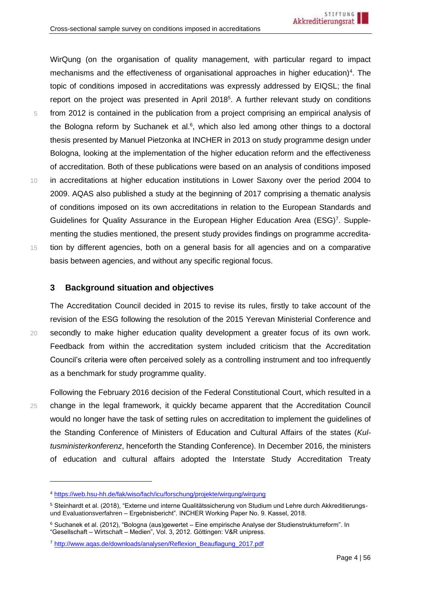WirQung (on the organisation of quality management, with particular regard to impact mechanisms and the effectiveness of organisational approaches in higher education)<sup>4</sup>. The topic of conditions imposed in accreditations was expressly addressed by EIQSL; the final report on the project was presented in April 2018<sup>5</sup>. A further relevant study on conditions 5 from 2012 is contained in the publication from a project comprising an empirical analysis of the Bologna reform by Suchanek et al. $6$ , which also led among other things to a doctoral thesis presented by Manuel Pietzonka at INCHER in 2013 on study programme design under Bologna, looking at the implementation of the higher education reform and the effectiveness of accreditation. Both of these publications were based on an analysis of conditions imposed 10 in accreditations at higher education institutions in Lower Saxony over the period 2004 to 2009. AQAS also published a study at the beginning of 2017 comprising a thematic analysis of conditions imposed on its own accreditations in relation to the European Standards and Guidelines for Quality Assurance in the European Higher Education Area (ESG)<sup>7</sup>. Supplementing the studies mentioned, the present study provides findings on programme accredita-15 tion by different agencies, both on a general basis for all agencies and on a comparative basis between agencies, and without any specific regional focus.

## <span id="page-3-0"></span>**3 Background situation and objectives**

The Accreditation Council decided in 2015 to revise its rules, firstly to take account of the revision of the ESG following the resolution of the 2015 Yerevan Ministerial Conference and 20 secondly to make higher education quality development a greater focus of its own work. Feedback from within the accreditation system included criticism that the Accreditation Council's criteria were often perceived solely as a controlling instrument and too infrequently as a benchmark for study programme quality.

Following the February 2016 decision of the Federal Constitutional Court, which resulted in a 25 change in the legal framework, it quickly became apparent that the Accreditation Council would no longer have the task of setting rules on accreditation to implement the guidelines of the Standing Conference of Ministers of Education and Cultural Affairs of the states (*Kultusministerkonferenz*, henceforth the Standing Conference). In December 2016, the ministers of education and cultural affairs adopted the Interstate Study Accreditation Treaty

<sup>4</sup> <https://web.hsu-hh.de/fak/wiso/fach/icu/forschung/projekte/wirqung/wirqung>

<sup>5</sup> Steinhardt et al. (2018), "Externe und interne Qualitätssicherung von Studium und Lehre durch Akkreditierungsund Evaluationsverfahren – Ergebnisbericht". INCHER Working Paper No. 9. Kassel, 2018.

<sup>6</sup> Suchanek et al. (2012), "Bologna (aus)gewertet – Eine empirische Analyse der Studienstrukturreform". In "Gesellschaft – Wirtschaft – Medien", Vol. 3, 2012. Göttingen: V&R unipress.

<sup>7</sup> [http://www.aqas.de/downloads/analysen/Reflexion\\_Beauflagung\\_2017.pdf](http://www.aqas.de/downloads/analysen/Reflexion_Beauflagung_2017.pdf)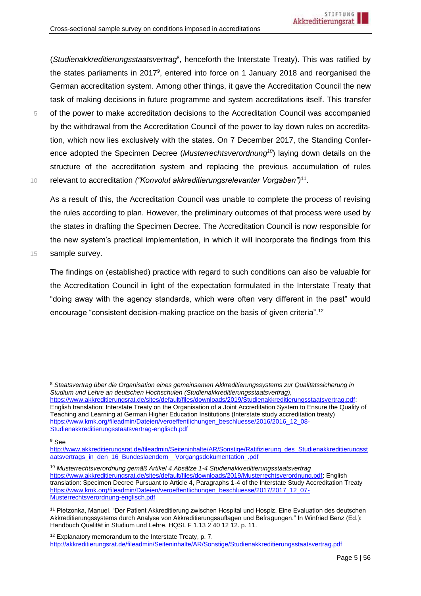(*Studienakkreditierungsstaatsvertrag*<sup>8</sup> , henceforth the Interstate Treaty). This was ratified by the states parliaments in 2017<sup>9</sup>, entered into force on 1 January 2018 and reorganised the German accreditation system. Among other things, it gave the Accreditation Council the new task of making decisions in future programme and system accreditations itself. This transfer 5 of the power to make accreditation decisions to the Accreditation Council was accompanied by the withdrawal from the Accreditation Council of the power to lay down rules on accreditation, which now lies exclusively with the states. On 7 December 2017, the Standing Conference adopted the Specimen Decree (*Musterrechtsverordnung<sup>10</sup>*) laying down details on the structure of the accreditation system and replacing the previous accumulation of rules 10 relevant to accreditation *("Konvolut akkreditierungsrelevanter Vorgaben"*)<sup>11</sup>.

As a result of this, the Accreditation Council was unable to complete the process of revising the rules according to plan. However, the preliminary outcomes of that process were used by the states in drafting the Specimen Decree. The Accreditation Council is now responsible for the new system's practical implementation, in which it will incorporate the findings from this 15 sample survey.

The findings on (established) practice with regard to such conditions can also be valuable for the Accreditation Council in light of the expectation formulated in the Interstate Treaty that "doing away with the agency standards, which were often very different in the past" would encourage "consistent decision-making practice on the basis of given criteria".<sup>12</sup>

[https://www.akkreditierungsrat.de/sites/default/files/downloads/2019/Studienakkreditierungsstaatsvertrag.pdf;](https://www.akkreditierungsrat.de/sites/default/files/downloads/2019/Studienakkreditierungsstaatsvertrag.pdf) English translation: Interstate Treaty on the Organisation of a Joint Accreditation System to Ensure the Quality of Teaching and Learning at German Higher Education Institutions (Interstate study accreditation treaty) [https://www.kmk.org/fileadmin/Dateien/veroeffentlichungen\\_beschluesse/2016/2016\\_12\\_08-](https://www.kmk.org/fileadmin/Dateien/veroeffentlichungen_beschluesse/2016/2016_12_08-Studienakkreditierungsstaatsvertrag-englisch.pdf) [Studienakkreditierungsstaatsvertrag-englisch.pdf](https://www.kmk.org/fileadmin/Dateien/veroeffentlichungen_beschluesse/2016/2016_12_08-Studienakkreditierungsstaatsvertrag-englisch.pdf)

<sup>9</sup> See

<sup>10</sup> *Musterrechtsverordnung gemäß Artikel 4 Absätze 1-4 Studienakkreditierungsstaatsvertrag* [https://www.akkreditierungsrat.de/sites/default/files/downloads/2019/Musterrechtsverordnung.pdf;](https://www.akkreditierungsrat.de/sites/default/files/downloads/2019/Musterrechtsverordnung.pdf) English translation: Specimen Decree Pursuant to Article 4, Paragraphs 1-4 of the Interstate Study Accreditation Treaty [https://www.kmk.org/fileadmin/Dateien/veroeffentlichungen\\_beschluesse/2017/2017\\_12\\_07-](https://www.kmk.org/fileadmin/Dateien/veroeffentlichungen_beschluesse/2017/2017_12_07-Musterrechtsverordnung-englisch.pdf) [Musterrechtsverordnung-englisch.pdf](https://www.kmk.org/fileadmin/Dateien/veroeffentlichungen_beschluesse/2017/2017_12_07-Musterrechtsverordnung-englisch.pdf)

<sup>12</sup> Explanatory memorandum to the Interstate Treaty, p. 7. [http://akkreditierungsrat.de/fileadmin/Seiteninhalte/AR/Sonstige/Studienakkreditierungsstaatsvertrag.pdf](https://www.akkreditierungsrat.de/fileadmin/Seiteninhalte/Sonstige/en/161208_Interstate_Study_Accreditation_Treaty.pdf)

<sup>8</sup> *Staatsvertrag über die Organisation eines gemeinsamen Akkreditierungssystems zur Qualitätssicherung in Studium und Lehre an deutschen Hochschulen (Studienakkreditierungsstaatsvertrag),*

[http://www.akkreditierungsrat.de/fileadmin/Seiteninhalte/AR/Sonstige/Ratifizierung\\_des\\_Studienakkreditierungsst](http://www.akkreditierungsrat.de/fileadmin/Seiteninhalte/AR/Sonstige/Ratifizierung_des_Studienakkreditierungsstaatsvertrags_in_den_16_Bundeslaendern__Vorgangsdokumentation_.pdf) [aatsvertrags\\_in\\_den\\_16\\_Bundeslaendern\\_\\_Vorgangsdokumentation\\_.pdf](http://www.akkreditierungsrat.de/fileadmin/Seiteninhalte/AR/Sonstige/Ratifizierung_des_Studienakkreditierungsstaatsvertrags_in_den_16_Bundeslaendern__Vorgangsdokumentation_.pdf)

<sup>11</sup> Pietzonka, Manuel. "Der Patient Akkreditierung zwischen Hospital und Hospiz. Eine Evaluation des deutschen Akkreditierungssystems durch Analyse von Akkreditierungsauflagen und Befragungen." In Winfried Benz (Ed.): Handbuch Qualität in Studium und Lehre. HQSL F 1.13 2 40 12 12. p. 11.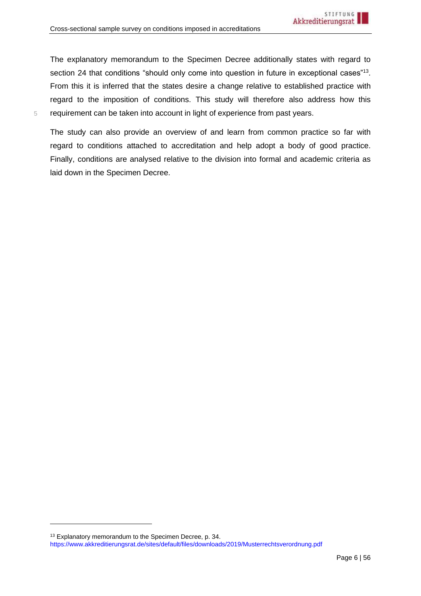The explanatory memorandum to the Specimen Decree additionally states with regard to section 24 that conditions "should only come into question in future in exceptional cases"<sup>13</sup>. From this it is inferred that the states desire a change relative to established practice with regard to the imposition of conditions. This study will therefore also address how this 5 requirement can be taken into account in light of experience from past years.

The study can also provide an overview of and learn from common practice so far with regard to conditions attached to accreditation and help adopt a body of good practice. Finally, conditions are analysed relative to the division into formal and academic criteria as laid down in the Specimen Decree.

<sup>13</sup> Explanatory memorandum to the Specimen Decree, p. 34.

[https://www.akkreditierungsrat.de/sites/default/files/downloads/2019/Musterrechtsverordnung.pdf](https://www.akkreditierungsrat.de/fileadmin/Seiteninhalte/Sonstige/en/171207_Specimen_decree.pdf)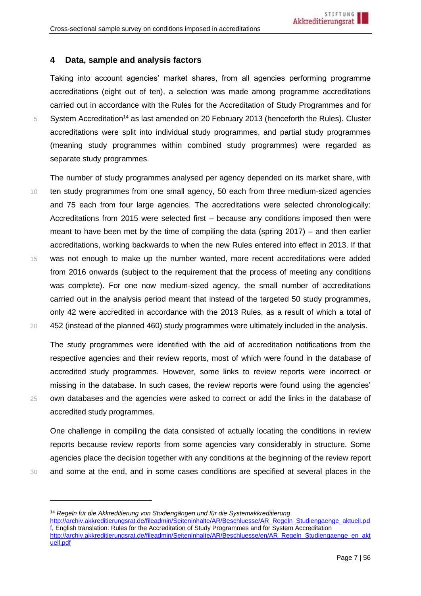## <span id="page-6-0"></span>**4 Data, sample and analysis factors**

Taking into account agencies' market shares, from all agencies performing programme accreditations (eight out of ten), a selection was made among programme accreditations carried out in accordance with the Rules for the Accreditation of Study Programmes and for  $5$  System Accreditation<sup>14</sup> as last amended on 20 February 2013 (henceforth the Rules). Cluster accreditations were split into individual study programmes, and partial study programmes (meaning study programmes within combined study programmes) were regarded as separate study programmes.

The number of study programmes analysed per agency depended on its market share, with 10 ten study programmes from one small agency, 50 each from three medium-sized agencies and 75 each from four large agencies. The accreditations were selected chronologically: Accreditations from 2015 were selected first – because any conditions imposed then were meant to have been met by the time of compiling the data (spring 2017) – and then earlier accreditations, working backwards to when the new Rules entered into effect in 2013. If that 15 was not enough to make up the number wanted, more recent accreditations were added from 2016 onwards (subject to the requirement that the process of meeting any conditions was complete). For one now medium-sized agency, the small number of accreditations carried out in the analysis period meant that instead of the targeted 50 study programmes, only 42 were accredited in accordance with the 2013 Rules, as a result of which a total of 20 452 (instead of the planned 460) study programmes were ultimately included in the analysis.

The study programmes were identified with the aid of accreditation notifications from the respective agencies and their review reports, most of which were found in the database of accredited study programmes. However, some links to review reports were incorrect or missing in the database. In such cases, the review reports were found using the agencies' 25 own databases and the agencies were asked to correct or add the links in the database of accredited study programmes.

One challenge in compiling the data consisted of actually locating the conditions in review reports because review reports from some agencies vary considerably in structure. Some agencies place the decision together with any conditions at the beginning of the review report 30 and some at the end, and in some cases conditions are specified at several places in the

<span id="page-6-1"></span><sup>14</sup> *Regeln für die Akkreditierung von Studiengängen und für die Systemakkreditierung*

[http://archiv.akkreditierungsrat.de/fileadmin/Seiteninhalte/AR/Beschluesse/AR\\_Regeln\\_Studiengaenge\\_aktuell.pd](http://archiv.akkreditierungsrat.de/fileadmin/Seiteninhalte/AR/Beschluesse/AR_Regeln_Studiengaenge_aktuell.pdf) [f,](http://archiv.akkreditierungsrat.de/fileadmin/Seiteninhalte/AR/Beschluesse/AR_Regeln_Studiengaenge_aktuell.pdf) English translation: Rules for the Accreditation of Study Programmes and for System Accreditation [http://archiv.akkreditierungsrat.de/fileadmin/Seiteninhalte/AR/Beschluesse/en/AR\\_Regeln\\_Studiengaenge\\_en\\_akt](http://archiv.akkreditierungsrat.de/fileadmin/Seiteninhalte/AR/Beschluesse/en/AR_Regeln_Studiengaenge_en_aktuell.pdf) [uell.pdf](http://archiv.akkreditierungsrat.de/fileadmin/Seiteninhalte/AR/Beschluesse/en/AR_Regeln_Studiengaenge_en_aktuell.pdf)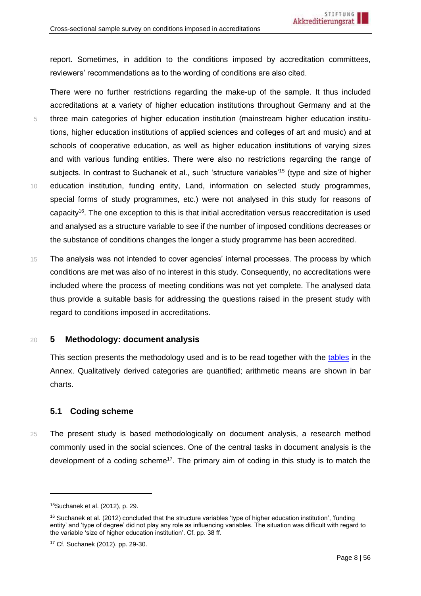report. Sometimes, in addition to the conditions imposed by accreditation committees, reviewers' recommendations as to the wording of conditions are also cited.

There were no further restrictions regarding the make-up of the sample. It thus included accreditations at a variety of higher education institutions throughout Germany and at the 5 three main categories of higher education institution (mainstream higher education institutions, higher education institutions of applied sciences and colleges of art and music) and at schools of cooperative education, as well as higher education institutions of varying sizes and with various funding entities. There were also no restrictions regarding the range of subjects. In contrast to Suchanek et al., such 'structure variables'<sup>15</sup> (type and size of higher 10 education institution, funding entity, Land, information on selected study programmes, special forms of study programmes, etc.) were not analysed in this study for reasons of capacity<sup>16</sup>. The one exception to this is that initial accreditation versus reaccreditation is used and analysed as a structure variable to see if the number of imposed conditions decreases or the substance of conditions changes the longer a study programme has been accredited.

<span id="page-7-2"></span>15 The analysis was not intended to cover agencies' internal processes. The process by which conditions are met was also of no interest in this study. Consequently, no accreditations were included where the process of meeting conditions was not yet complete. The analysed data thus provide a suitable basis for addressing the questions raised in the present study with regard to conditions imposed in accreditations.

#### <span id="page-7-0"></span>20 **5 Methodology: document analysis**

This section presents the methodology used and is to be read together with the [tables](#page-38-1) in the Annex. Qualitatively derived categories are quantified; arithmetic means are shown in bar charts.

## <span id="page-7-1"></span>**5.1 Coding scheme**

25 The present study is based methodologically on document analysis, a research method commonly used in the social sciences. One of the central tasks in document analysis is the development of a coding scheme<sup>17</sup>. The primary aim of coding in this study is to match the

<sup>15</sup>Suchanek et al. (2012), p. 29.

<sup>&</sup>lt;sup>16</sup> Suchanek et al. (2012) concluded that the structure variables 'type of higher education institution', 'funding entity' and 'type of degree' did not play any role as influencing variables. The situation was difficult with regard to the variable 'size of higher education institution'. Cf. pp. 38 ff.

<sup>17</sup> Cf. Suchanek (2012), pp. 29-30.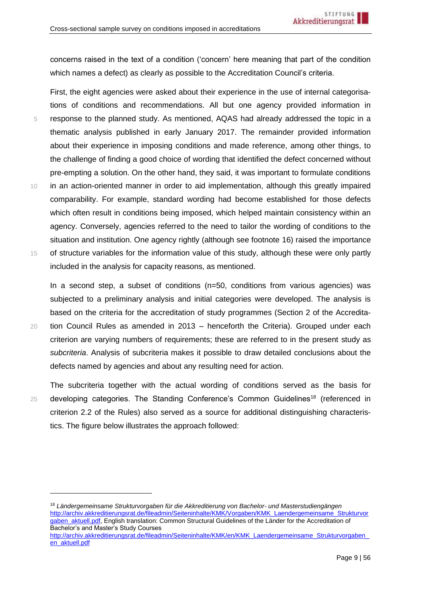concerns raised in the text of a condition ('concern' here meaning that part of the condition which names a defect) as clearly as possible to the Accreditation Council's criteria.

First, the eight agencies were asked about their experience in the use of internal categorisations of conditions and recommendations. All but one agency provided information in 5 response to the planned study. As mentioned, AQAS had already addressed the topic in a thematic analysis published in early January 2017. The remainder provided information about their experience in imposing conditions and made reference, among other things, to the challenge of finding a good choice of wording that identified the defect concerned without pre-empting a solution. On the other hand, they said, it was important to formulate conditions 10 in an action-oriented manner in order to aid implementation, although this greatly impaired comparability. For example, standard wording had become established for those defects which often result in conditions being imposed, which helped maintain consistency within an agency. Conversely, agencies referred to the need to tailor the wording of conditions to the situation and institution. One agency rightly (although see footnote [16\)](#page-7-2) raised the importance 15 of structure variables for the information value of this study, although these were only partly included in the analysis for capacity reasons, as mentioned.

In a second step, a subset of conditions (n=50, conditions from various agencies) was subjected to a preliminary analysis and initial categories were developed. The analysis is based on the criteria for the accreditation of study programmes (Section 2 of the Accredita-20 tion Council Rules as amended in 2013 – henceforth the Criteria). Grouped under each criterion are varying numbers of requirements; these are referred to in the present study as *subcriteria*. Analysis of subcriteria makes it possible to draw detailed conclusions about the defects named by agencies and about any resulting need for action.

The subcriteria together with the actual wording of conditions served as the basis for 25 developing categories. The Standing Conference's Common Guidelines<sup>18</sup> (referenced in criterion 2.2 of the Rules) also served as a source for additional distinguishing characteristics. The figure below illustrates the approach followed:

<sup>18</sup> *Ländergemeinsame Strukturvorgaben für die Akkreditierung von Bachelor- und Masterstudiengängen* [http://archiv.akkreditierungsrat.de/fileadmin/Seiteninhalte/KMK/Vorgaben/KMK\\_Laendergemeinsame\\_Strukturvor](http://archiv.akkreditierungsrat.de/fileadmin/Seiteninhalte/KMK/Vorgaben/KMK_Laendergemeinsame_Strukturvorgaben_aktuell.pdf) [gaben\\_aktuell.pdf,](http://archiv.akkreditierungsrat.de/fileadmin/Seiteninhalte/KMK/Vorgaben/KMK_Laendergemeinsame_Strukturvorgaben_aktuell.pdf) English translation: Common Structural Guidelines of the Länder for the Accreditation of Bachelor's and Master's Study Courses

[http://archiv.akkreditierungsrat.de/fileadmin/Seiteninhalte/KMK/en/KMK\\_Laendergemeinsame\\_Strukturvorgaben\\_](http://archiv.akkreditierungsrat.de/fileadmin/Seiteninhalte/KMK/en/KMK_Laendergemeinsame_Strukturvorgaben_en_aktuell.pdf) [en\\_aktuell.pdf](http://archiv.akkreditierungsrat.de/fileadmin/Seiteninhalte/KMK/en/KMK_Laendergemeinsame_Strukturvorgaben_en_aktuell.pdf)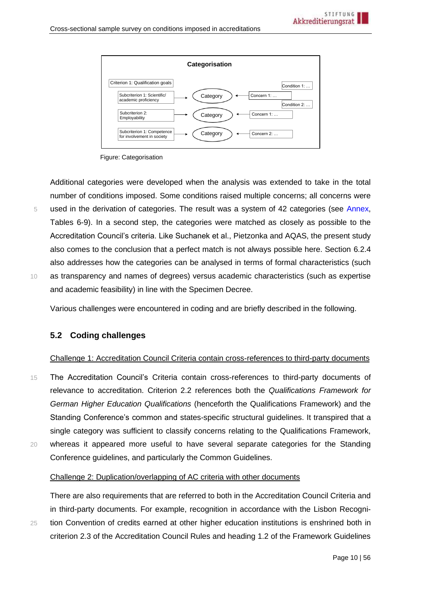

Figure: Categorisation

Additional categories were developed when the analysis was extended to take in the total number of conditions imposed. Some conditions raised multiple concerns; all concerns were 5 used in the derivation of categories. The result was a system of 42 categories (see [Annex,](#page-38-1) Tables 6-9). In a second step, the categories were matched as closely as possible to the Accreditation Council's criteria. Like Suchanek et al., Pietzonka and AQAS, the present study also comes to the conclusion that a perfect match is not always possible here. Section [6.2.4](#page-30-0) also addresses how the categories can be analysed in terms of formal characteristics (such 10 as transparency and names of degrees) versus academic characteristics (such as expertise and academic feasibility) in line with the Specimen Decree.

Various challenges were encountered in coding and are briefly described in the following.

## <span id="page-9-0"></span>**5.2 Coding challenges**

#### Challenge 1: Accreditation Council Criteria contain cross-references to third-party documents

15 The Accreditation Council's Criteria contain cross-references to third-party documents of relevance to accreditation. Criterion 2.2 references both the *Qualifications Framework for German Higher Education Qualifications* (henceforth the Qualifications Framework) and the Standing Conference's common and states-specific structural guidelines. It transpired that a single category was sufficient to classify concerns relating to the Qualifications Framework,

20 whereas it appeared more useful to have several separate categories for the Standing Conference guidelines, and particularly the Common Guidelines.

#### Challenge 2: Duplication/overlapping of AC criteria with other documents

There are also requirements that are referred to both in the Accreditation Council Criteria and in third-party documents. For example, recognition in accordance with the Lisbon Recogni-25 tion Convention of credits earned at other higher education institutions is enshrined both in criterion 2.3 of the Accreditation Council Rules and heading 1.2 of the Framework Guidelines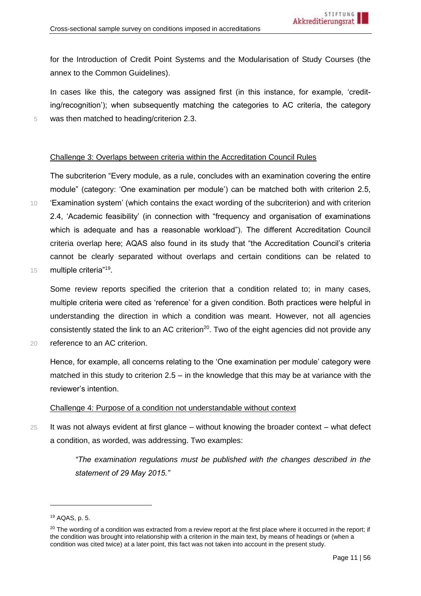for the Introduction of Credit Point Systems and the Modularisation of Study Courses (the annex to the Common Guidelines).

In cases like this, the category was assigned first (in this instance, for example, 'crediting/recognition'); when subsequently matching the categories to AC criteria, the category 5 was then matched to heading/criterion 2.3.

#### Challenge 3: Overlaps between criteria within the Accreditation Council Rules

The subcriterion "Every module, as a rule, concludes with an examination covering the entire module" (category: 'One examination per module') can be matched both with criterion 2.5, 10 'Examination system' (which contains the exact wording of the subcriterion) and with criterion 2.4, 'Academic feasibility' (in connection with "frequency and organisation of examinations which is adequate and has a reasonable workload"). The different Accreditation Council criteria overlap here; AQAS also found in its study that "the Accreditation Council's criteria cannot be clearly separated without overlaps and certain conditions can be related to 15 multiple criteria"<sup>19</sup>.

Some review reports specified the criterion that a condition related to; in many cases, multiple criteria were cited as 'reference' for a given condition. Both practices were helpful in understanding the direction in which a condition was meant. However, not all agencies consistently stated the link to an AC criterion<sup>20</sup>. Two of the eight agencies did not provide any 20 reference to an AC criterion.

Hence, for example, all concerns relating to the 'One examination per module' category were matched in this study to criterion  $2.5 -$  in the knowledge that this may be at variance with the reviewer's intention.

#### Challenge 4: Purpose of a condition not understandable without context

 $25$  It was not always evident at first glance – without knowing the broader context – what defect a condition, as worded, was addressing. Two examples:

> *"The examination regulations must be published with the changes described in the statement of 29 May 2015."*

<sup>19</sup> AQAS, p. 5.

 $20$  The wording of a condition was extracted from a review report at the first place where it occurred in the report; if the condition was brought into relationship with a criterion in the main text, by means of headings or (when a condition was cited twice) at a later point, this fact was not taken into account in the present study.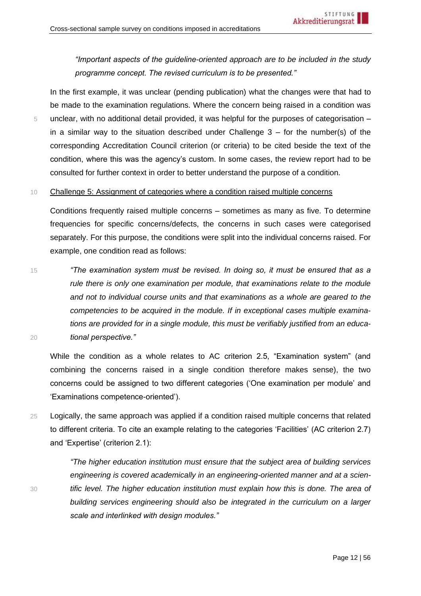*"Important aspects of the guideline-oriented approach are to be included in the study programme concept. The revised curriculum is to be presented."*

In the first example, it was unclear (pending publication) what the changes were that had to be made to the examination regulations. Where the concern being raised in a condition was 5 unclear, with no additional detail provided, it was helpful for the purposes of categorisation – in a similar way to the situation described under Challenge  $3 -$  for the number(s) of the corresponding Accreditation Council criterion (or criteria) to be cited beside the text of the condition, where this was the agency's custom. In some cases, the review report had to be consulted for further context in order to better understand the purpose of a condition.

#### <span id="page-11-0"></span>10 Challenge 5: Assignment of categories where a condition raised multiple concerns

Conditions frequently raised multiple concerns – sometimes as many as five. To determine frequencies for specific concerns/defects, the concerns in such cases were categorised separately. For this purpose, the conditions were split into the individual concerns raised. For example, one condition read as follows:

15 *"The examination system must be revised. In doing so, it must be ensured that as a rule there is only one examination per module, that examinations relate to the module and not to individual course units and that examinations as a whole are geared to the competencies to be acquired in the module. If in exceptional cases multiple examinations are provided for in a single module, this must be verifiably justified from an educa-*20 *tional perspective."*

While the condition as a whole relates to AC criterion 2.5, "Examination system" (and combining the concerns raised in a single condition therefore makes sense), the two concerns could be assigned to two different categories ('One examination per module' and 'Examinations competence-oriented').

25 Logically, the same approach was applied if a condition raised multiple concerns that related to different criteria. To cite an example relating to the categories 'Facilities' (AC criterion 2.7) and 'Expertise' (criterion 2.1):

*"The higher education institution must ensure that the subject area of building services engineering is covered academically in an engineering-oriented manner and at a scien-*30 *tific level. The higher education institution must explain how this is done. The area of building services engineering should also be integrated in the curriculum on a larger scale and interlinked with design modules."*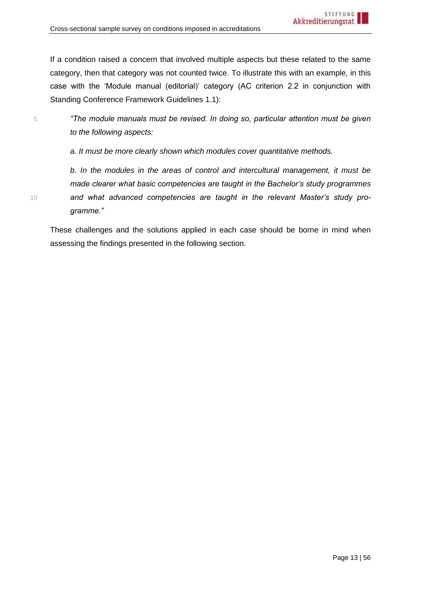If a condition raised a concern that involved multiple aspects but these related to the same category, then that category was not counted twice. To illustrate this with an example, in this case with the 'Module manual (editorial)' category (AC criterion 2.2 in conjunction with Standing Conference Framework Guidelines 1.1):

5 *"The module manuals must be revised. In doing so, particular attention must be given to the following aspects:*

*a. It must be more clearly shown which modules cover quantitative methods.*

*b. In the modules in the areas of control and intercultural management, it must be made clearer what basic competencies are taught in the Bachelor's study programmes*  10 *and what advanced competencies are taught in the relevant Master's study programme."*

These challenges and the solutions applied in each case should be borne in mind when assessing the findings presented in the following section.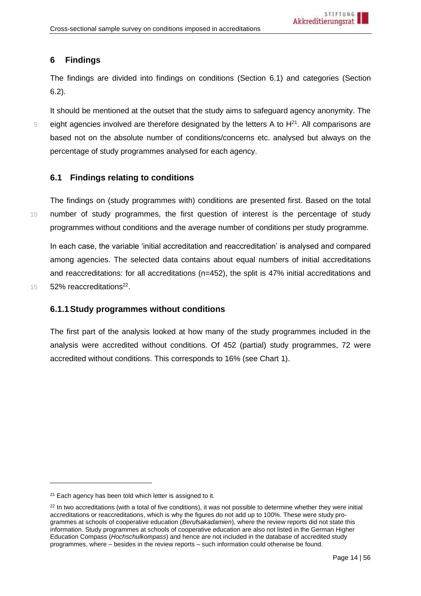# <span id="page-13-0"></span>**6 Findings**

The findings are divided into findings on conditions (Section [6.1\)](#page-13-1) and categories (Section [6.2\)](#page-22-0).

It should be mentioned at the outset that the study aims to safeguard agency anonymity. The  $5$  eight agencies involved are therefore designated by the letters A to  $H<sup>21</sup>$ . All comparisons are based not on the absolute number of conditions/concerns etc. analysed but always on the percentage of study programmes analysed for each agency.

# <span id="page-13-1"></span>**6.1 Findings relating to conditions**

The findings on (study programmes with) conditions are presented first. Based on the total 10 number of study programmes, the first question of interest is the percentage of study programmes without conditions and the average number of conditions per study programme.

In each case, the variable 'initial accreditation and reaccreditation' is analysed and compared among agencies. The selected data contains about equal numbers of initial accreditations and reaccreditations: for all accreditations (n=452), the split is 47% initial accreditations and 15 **52% reaccreditations**<sup>22</sup>.

# <span id="page-13-2"></span>**6.1.1Study programmes without conditions**

The first part of the analysis looked at how many of the study programmes included in the analysis were accredited without conditions. Of 452 (partial) study programmes, 72 were accredited without conditions. This corresponds to 16% (see Chart 1).

 $21$  Each agency has been told which letter is assigned to it.

 $22$  In two accreditations (with a total of five conditions), it was not possible to determine whether they were initial accreditations or reaccreditations, which is why the figures do not add up to 100%. These were study programmes at schools of cooperative education (*Berufsakadamien*), where the review reports did not state this information. Study programmes at schools of cooperative education are also not listed in the German Higher Education Compass (*Hochschulkompass*) and hence are not included in the database of accredited study programmes, where – besides in the review reports – such information could otherwise be found.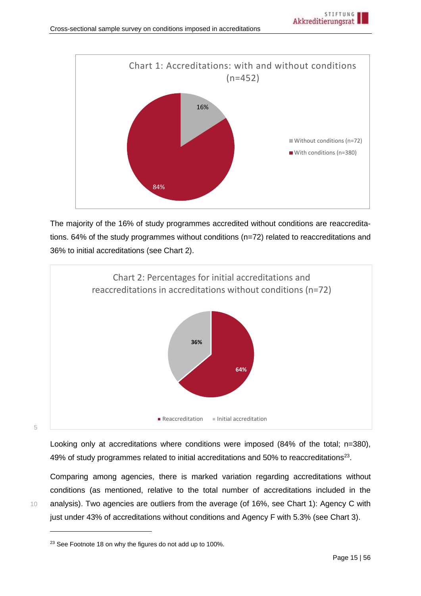

The majority of the 16% of study programmes accredited without conditions are reaccreditations. 64% of the study programmes without conditions (n=72) related to reaccreditations and 36% to initial accreditations (see Chart 2).



5

Looking only at accreditations where conditions were imposed (84% of the total; n=380), 49% of study programmes related to initial accreditations and 50% to reaccreditations<sup>23</sup>.

Comparing among agencies, there is marked variation regarding accreditations without conditions (as mentioned, relative to the total number of accreditations included in the 10 analysis). Two agencies are outliers from the average (of 16%, see Chart 1): Agency C with just under 43% of accreditations without conditions and Agency F with 5.3% (see Chart 3).

<sup>&</sup>lt;sup>23</sup> See Footnote 18 on why the figures do not add up to 100%.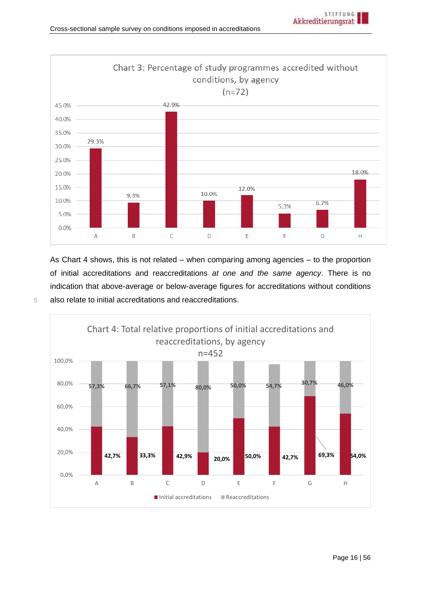

As Chart 4 shows, this is not related – when comparing among agencies – to the proportion of initial accreditations and reaccreditations *at one and the same agency*. There is no indication that above-average or below-average figures for accreditations without conditions 5 also relate to initial accreditations and reaccreditations.

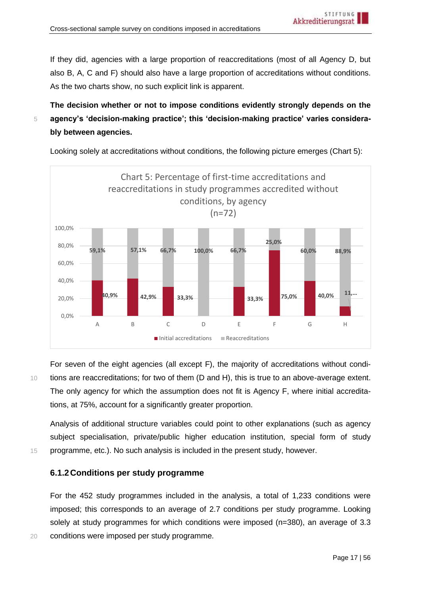If they did, agencies with a large proportion of reaccreditations (most of all Agency D, but also B, A, C and F) should also have a large proportion of accreditations without conditions. As the two charts show, no such explicit link is apparent.

**The decision whether or not to impose conditions evidently strongly depends on the**  5 **agency's 'decision-making practice'; this 'decision-making practice' varies considerably between agencies.**

Looking solely at accreditations without conditions, the following picture emerges (Chart 5):



For seven of the eight agencies (all except F), the majority of accreditations without condi-10 tions are reaccreditations; for two of them (D and H), this is true to an above-average extent. The only agency for which the assumption does not fit is Agency F, where initial accreditations, at 75%, account for a significantly greater proportion.

Analysis of additional structure variables could point to other explanations (such as agency subject specialisation, private/public higher education institution, special form of study 15 programme, etc.). No such analysis is included in the present study, however.

# <span id="page-16-0"></span>**6.1.2Conditions per study programme**

For the 452 study programmes included in the analysis, a total of 1,233 conditions were imposed; this corresponds to an average of 2.7 conditions per study programme. Looking solely at study programmes for which conditions were imposed (n=380), an average of 3.3 20 conditions were imposed per study programme.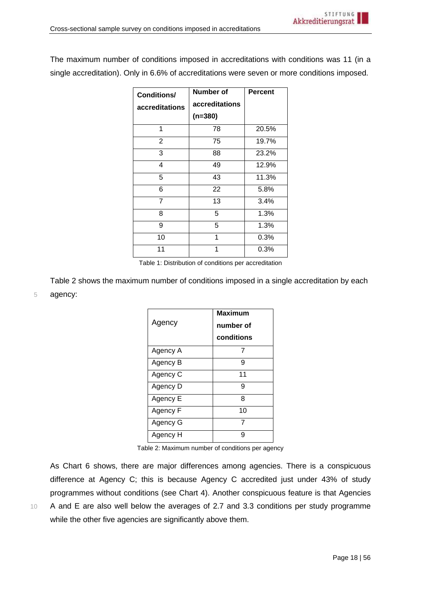The maximum number of conditions imposed in accreditations with conditions was 11 (in a single accreditation). Only in 6.6% of accreditations were seven or more conditions imposed.

| <b>Conditions/</b><br>accreditations | Number of<br>accreditations<br>$(n=380)$ | <b>Percent</b> |
|--------------------------------------|------------------------------------------|----------------|
| 1                                    | 78                                       | 20.5%          |
| $\overline{2}$                       | 75                                       | 19.7%          |
| 3                                    | 88                                       | 23.2%          |
| 4                                    | 49                                       | 12.9%          |
| 5                                    | 43                                       | 11.3%          |
| 6                                    | 22                                       | 5.8%           |
| 7                                    | 13                                       | 3.4%           |
| 8                                    | 5                                        | 1.3%           |
| 9                                    | 5                                        | 1.3%           |
| 10                                   | 1                                        | 0.3%           |
| 11                                   | 1                                        | 0.3%           |

Table 1: Distribution of conditions per accreditation

Table 2 shows the maximum number of conditions imposed in a single accreditation by each 5 agency:

| Agency   | <b>Maximum</b><br>number of<br>conditions |
|----------|-------------------------------------------|
| Agency A | 7                                         |
| Agency B | 9                                         |
| Agency C | 11                                        |
| Agency D | 9                                         |
| Agency E | 8                                         |
| Agency F | 10                                        |
| Agency G |                                           |
| Agency H | g                                         |

Table 2: Maximum number of conditions per agency

As Chart 6 shows, there are major differences among agencies. There is a conspicuous difference at Agency C; this is because Agency C accredited just under 43% of study programmes without conditions (see Chart 4). Another conspicuous feature is that Agencies 10 A and E are also well below the averages of 2.7 and 3.3 conditions per study programme while the other five agencies are significantly above them.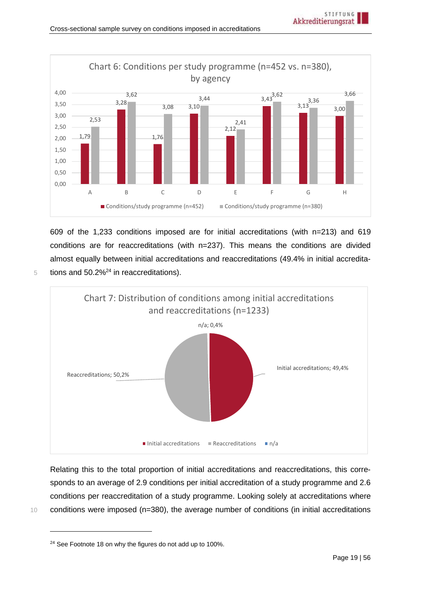

609 of the 1,233 conditions imposed are for initial accreditations (with n=213) and 619 conditions are for reaccreditations (with n=237). This means the conditions are divided almost equally between initial accreditations and reaccreditations (49.4% in initial accreditations and  $50.2\%^{24}$  in reaccreditations).



Relating this to the total proportion of initial accreditations and reaccreditations, this corresponds to an average of 2.9 conditions per initial accreditation of a study programme and 2.6 conditions per reaccreditation of a study programme. Looking solely at accreditations where 10 conditions were imposed (n=380), the average number of conditions (in initial accreditations

<sup>&</sup>lt;sup>24</sup> See Footnote 18 on why the figures do not add up to 100%.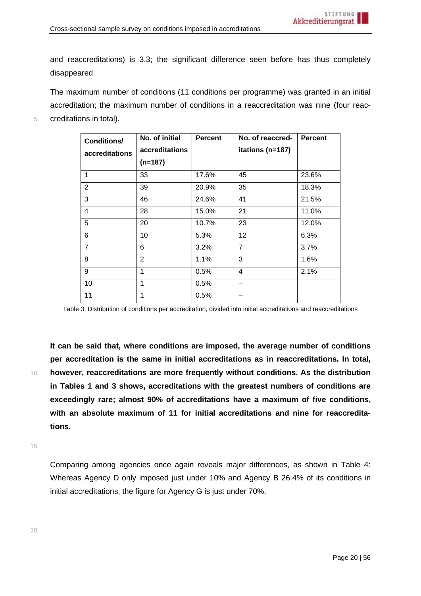and reaccreditations) is 3.3; the significant difference seen before has thus completely disappeared.

The maximum number of conditions (11 conditions per programme) was granted in an initial accreditation; the maximum number of conditions in a reaccreditation was nine (four reac-5 creditations in total).

| <b>Conditions/</b><br>accreditations | No. of initial<br>accreditations<br>$(n=187)$ | <b>Percent</b> | No. of reaccred-<br>itations (n=187) | <b>Percent</b> |
|--------------------------------------|-----------------------------------------------|----------------|--------------------------------------|----------------|
| 1                                    | 33                                            | 17.6%          | 45                                   | 23.6%          |
| 2                                    | 39                                            | 20.9%          | 35                                   | 18.3%          |
| 3                                    | 46                                            | 24.6%          | 41                                   | 21.5%          |
| 4                                    | 28                                            | 15.0%          | 21                                   | 11.0%          |
| 5                                    | 20                                            | 10.7%          | 23                                   | 12.0%          |
| 6                                    | 10                                            | 5.3%           | 12                                   | 6.3%           |
| $\overline{7}$                       | 6                                             | 3.2%           | $\overline{7}$                       | 3.7%           |
| 8                                    | $\mathbf{2}$                                  | 1.1%           | 3                                    | 1.6%           |
| 9                                    | 1                                             | 0.5%           | 4                                    | 2.1%           |
| 10                                   | 1                                             | 0.5%           |                                      |                |
| 11                                   | 1                                             | 0.5%           |                                      |                |

Table 3: Distribution of conditions per accreditation, divided into initial accreditations and reaccreditations

**It can be said that, where conditions are imposed, the average number of conditions per accreditation is the same in initial accreditations as in reaccreditations. In total,**  10 **however, reaccreditations are more frequently without conditions. As the distribution in Tables 1 and 3 shows, accreditations with the greatest numbers of conditions are exceedingly rare; almost 90% of accreditations have a maximum of five conditions, with an absolute maximum of 11 for initial accreditations and nine for reaccreditations.**

15

Comparing among agencies once again reveals major differences, as shown in Table 4: Whereas Agency D only imposed just under 10% and Agency B 26.4% of its conditions in initial accreditations, the figure for Agency G is just under 70%.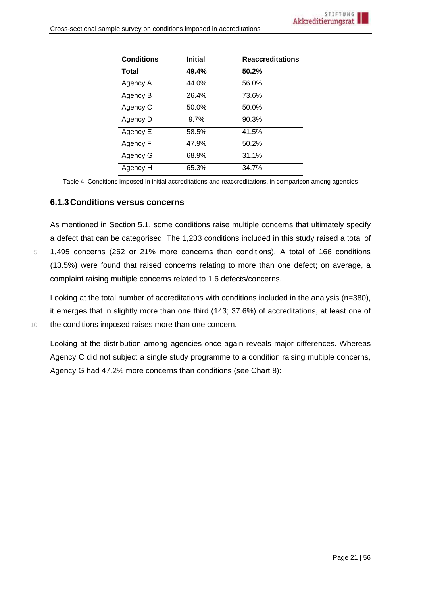| <b>Conditions</b> | <b>Initial</b> | <b>Reaccreditations</b> |
|-------------------|----------------|-------------------------|
| <b>Total</b>      | 49.4%          | 50.2%                   |
| Agency A          | 44.0%          | 56.0%                   |
| Agency B          | 26.4%          | 73.6%                   |
| Agency C          | 50.0%          | 50.0%                   |
| Agency D          | 9.7%           | 90.3%                   |
| Agency E          | 58.5%          | 41.5%                   |
| Agency F          | 47.9%          | 50.2%                   |
| Agency G          | 68.9%          | 31.1%                   |
| Agency H          | 65.3%          | 34.7%                   |

Table 4: Conditions imposed in initial accreditations and reaccreditations, in comparison among agencies

#### <span id="page-20-0"></span>**6.1.3Conditions versus concerns**

As mentioned in Section [5.1,](#page-7-1) some conditions raise multiple concerns that ultimately specify a defect that can be categorised. The 1,233 conditions included in this study raised a total of 5 1,495 concerns (262 or 21% more concerns than conditions). A total of 166 conditions (13.5%) were found that raised concerns relating to more than one defect; on average, a complaint raising multiple concerns related to 1.6 defects/concerns.

Looking at the total number of accreditations with conditions included in the analysis (n=380), it emerges that in slightly more than one third (143; 37.6%) of accreditations, at least one of 10 the conditions imposed raises more than one concern.

Looking at the distribution among agencies once again reveals major differences. Whereas Agency C did not subject a single study programme to a condition raising multiple concerns, Agency G had 47.2% more concerns than conditions (see Chart 8):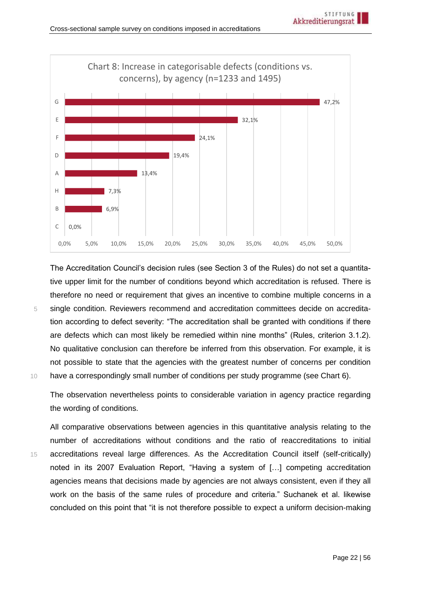

The Accreditation Council's decision rules (see Section 3 of the Rules) do not set a quantitative upper limit for the number of conditions beyond which accreditation is refused. There is therefore no need or requirement that gives an incentive to combine multiple concerns in a 5 single condition. Reviewers recommend and accreditation committees decide on accreditation according to defect severity: "The accreditation shall be granted with conditions if there are defects which can most likely be remedied within nine months" (Rules, criterion 3.1.2). No qualitative conclusion can therefore be inferred from this observation. For example, it is not possible to state that the agencies with the greatest number of concerns per condition 10 have a correspondingly small number of conditions per study programme (see Chart 6).

The observation nevertheless points to considerable variation in agency practice regarding the wording of conditions.

All comparative observations between agencies in this quantitative analysis relating to the number of accreditations without conditions and the ratio of reaccreditations to initial 15 accreditations reveal large differences. As the Accreditation Council itself (self-critically) noted in its 2007 Evaluation Report, "Having a system of […] competing accreditation agencies means that decisions made by agencies are not always consistent, even if they all work on the basis of the same rules of procedure and criteria." Suchanek et al. likewise concluded on this point that "it is not therefore possible to expect a uniform decision-making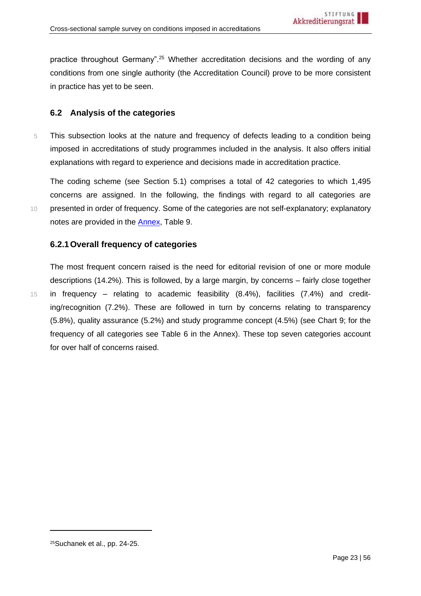practice throughout Germany".<sup>25</sup> Whether accreditation decisions and the wording of any conditions from one single authority (the Accreditation Council) prove to be more consistent in practice has yet to be seen.

# <span id="page-22-0"></span>**6.2 Analysis of the categories**

5 This subsection looks at the nature and frequency of defects leading to a condition being imposed in accreditations of study programmes included in the analysis. It also offers initial explanations with regard to experience and decisions made in accreditation practice.

The coding scheme (see Section [5.1\)](#page-7-1) comprises a total of 42 categories to which 1,495 concerns are assigned. In the following, the findings with regard to all categories are 10 presented in order of frequency. Some of the categories are not self-explanatory; explanatory notes are provided in the [Annex,](#page-38-1) Table 9.

# <span id="page-22-1"></span>**6.2.1Overall frequency of categories**

The most frequent concern raised is the need for editorial revision of one or more module descriptions (14.2%). This is followed, by a large margin, by concerns – fairly close together 15 in frequency – relating to academic feasibility (8.4%), facilities (7.4%) and crediting/recognition (7.2%). These are followed in turn by concerns relating to transparency (5.8%), quality assurance (5.2%) and study programme concept (4.5%) (see Chart 9; for the frequency of all categories see Table 6 in the Annex). These top seven categories account for over half of concerns raised.

<sup>25</sup>Suchanek et al., pp. 24-25.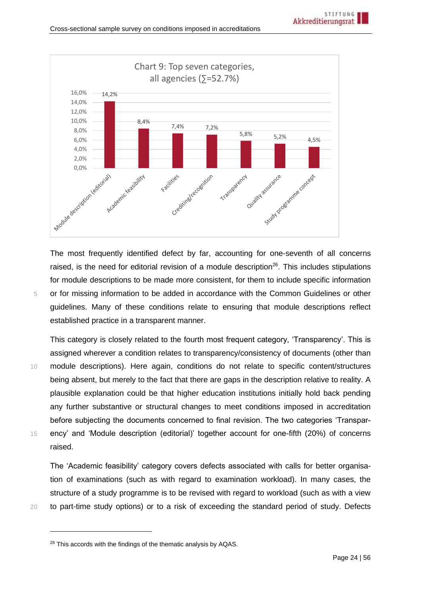

The most frequently identified defect by far, accounting for one-seventh of all concerns raised, is the need for editorial revision of a module description<sup>26</sup>. This includes stipulations for module descriptions to be made more consistent, for them to include specific information 5 or for missing information to be added in accordance with the Common Guidelines or other guidelines. Many of these conditions relate to ensuring that module descriptions reflect established practice in a transparent manner.

This category is closely related to the fourth most frequent category, 'Transparency'. This is assigned wherever a condition relates to transparency/consistency of documents (other than 10 module descriptions). Here again, conditions do not relate to specific content/structures being absent, but merely to the fact that there are gaps in the description relative to reality. A plausible explanation could be that higher education institutions initially hold back pending any further substantive or structural changes to meet conditions imposed in accreditation before subjecting the documents concerned to final revision. The two categories 'Transpar-15 ency' and 'Module description (editorial)' together account for one-fifth (20%) of concerns raised.

The 'Academic feasibility' category covers defects associated with calls for better organisation of examinations (such as with regard to examination workload). In many cases, the structure of a study programme is to be revised with regard to workload (such as with a view 20 to part-time study options) or to a risk of exceeding the standard period of study. Defects

<sup>&</sup>lt;sup>26</sup> This accords with the findings of the thematic analysis by AQAS.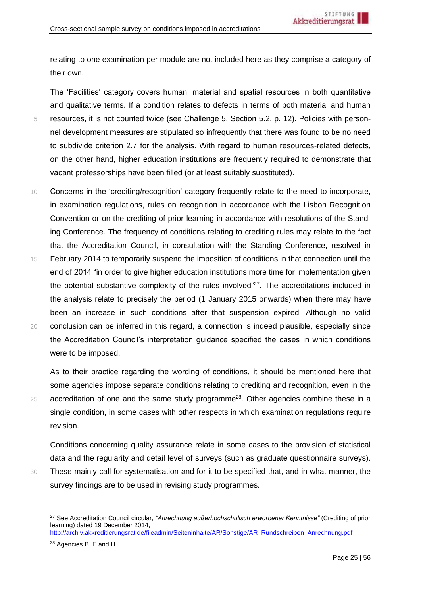relating to one examination per module are not included here as they comprise a category of their own.

The 'Facilities' category covers human, material and spatial resources in both quantitative and qualitative terms. If a condition relates to defects in terms of both material and human 5 resources, it is not counted twice (see Challenge 5, Section [5.2,](#page-9-0) p. [12\)](#page-11-0). Policies with personnel development measures are stipulated so infrequently that there was found to be no need to subdivide criterion 2.7 for the analysis. With regard to human resources-related defects, on the other hand, higher education institutions are frequently required to demonstrate that vacant professorships have been filled (or at least suitably substituted).

- 10 Concerns in the 'crediting/recognition' category frequently relate to the need to incorporate, in examination regulations, rules on recognition in accordance with the Lisbon Recognition Convention or on the crediting of prior learning in accordance with resolutions of the Standing Conference. The frequency of conditions relating to crediting rules may relate to the fact that the Accreditation Council, in consultation with the Standing Conference, resolved in
- 15 February 2014 to temporarily suspend the imposition of conditions in that connection until the end of 2014 "in order to give higher education institutions more time for implementation given the potential substantive complexity of the rules involved"<sup>27</sup>. The accreditations included in the analysis relate to precisely the period (1 January 2015 onwards) when there may have been an increase in such conditions after that suspension expired. Although no valid 20 conclusion can be inferred in this regard, a connection is indeed plausible, especially since the Accreditation Council's interpretation guidance specified the cases in which conditions were to be imposed.

As to their practice regarding the wording of conditions, it should be mentioned here that some agencies impose separate conditions relating to crediting and recognition, even in the  $25$  accreditation of one and the same study programme<sup>28</sup>. Other agencies combine these in a single condition, in some cases with other respects in which examination regulations require revision.

Conditions concerning quality assurance relate in some cases to the provision of statistical data and the regularity and detail level of surveys (such as graduate questionnaire surveys). 30 These mainly call for systematisation and for it to be specified that, and in what manner, the

[http://archiv.akkreditierungsrat.de/fileadmin/Seiteninhalte/AR/Sonstige/AR\\_Rundschreiben\\_Anrechnung.pdf](http://archiv.akkreditierungsrat.de/fileadmin/Seiteninhalte/AR/Sonstige/AR_Rundschreiben_Anrechnung.pdf)

survey findings are to be used in revising study programmes.

<sup>27</sup> See Accreditation Council circular, *"Anrechnung außerhochschulisch erworbener Kenntnisse"* (Crediting of prior learning) dated 19 December 2014,

<sup>28</sup> Agencies B, E and H.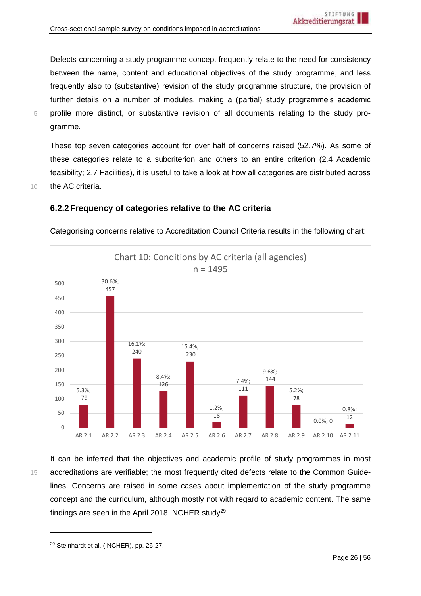Defects concerning a study programme concept frequently relate to the need for consistency between the name, content and educational objectives of the study programme, and less frequently also to (substantive) revision of the study programme structure, the provision of further details on a number of modules, making a (partial) study programme's academic 5 profile more distinct, or substantive revision of all documents relating to the study programme.

These top seven categories account for over half of concerns raised (52.7%). As some of these categories relate to a subcriterion and others to an entire criterion (2.4 Academic feasibility; 2.7 Facilities), it is useful to take a look at how all categories are distributed across 10 the AC criteria.

## <span id="page-25-0"></span>**6.2.2Frequency of categories relative to the AC criteria**



Categorising concerns relative to Accreditation Council Criteria results in the following chart:

It can be inferred that the objectives and academic profile of study programmes in most 15 accreditations are verifiable; the most frequently cited defects relate to the Common Guidelines. Concerns are raised in some cases about implementation of the study programme concept and the curriculum, although mostly not with regard to academic content. The same findings are seen in the April 2018 INCHER study<sup>29</sup>.

<sup>29</sup> Steinhardt et al. (INCHER), pp. 26-27.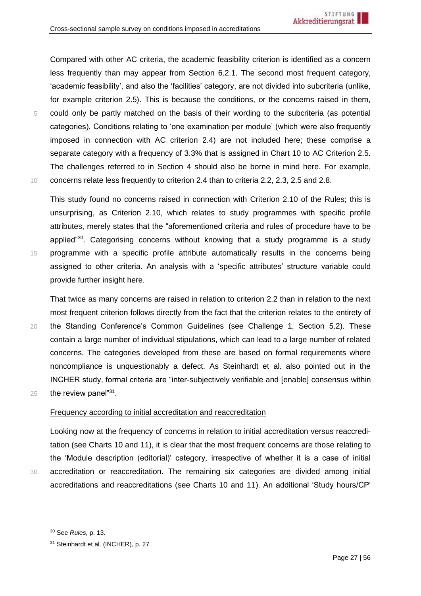Compared with other AC criteria, the academic feasibility criterion is identified as a concern less frequently than may appear from Section [6.2.1.](#page-22-1) The second most frequent category, 'academic feasibility', and also the 'facilities' category, are not divided into subcriteria (unlike, for example criterion 2.5). This is because the conditions, or the concerns raised in them, 5 could only be partly matched on the basis of their wording to the subcriteria (as potential categories). Conditions relating to 'one examination per module' (which were also frequently imposed in connection with AC criterion 2.4) are not included here; these comprise a separate category with a frequency of 3.3% that is assigned in Chart 10 to AC Criterion 2.5. The challenges referred to in Section [4](#page-6-0) should also be borne in mind here. For example, 10 concerns relate less frequently to criterion 2.4 than to criteria 2.2, 2.3, 2.5 and 2.8.

This study found no concerns raised in connection with Criterion 2.10 of the Rules; this is unsurprising, as Criterion 2.10, which relates to study programmes with specific profile attributes, merely states that the "aforementioned criteria and rules of procedure have to be applied" $30$ . Categorising concerns without knowing that a study programme is a study 15 programme with a specific profile attribute automatically results in the concerns being assigned to other criteria. An analysis with a 'specific attributes' structure variable could provide further insight here.

That twice as many concerns are raised in relation to criterion 2.2 than in relation to the next most frequent criterion follows directly from the fact that the criterion relates to the entirety of 20 the Standing Conference's Common Guidelines (see Challenge 1, Section [5.2\)](#page-9-0). These contain a large number of individual stipulations, which can lead to a large number of related concerns. The categories developed from these are based on formal requirements where noncompliance is unquestionably a defect. As Steinhardt et al. also pointed out in the INCHER study, formal criteria are "inter-subjectively verifiable and [enable] consensus within 25 the review panel $131$ .

#### Frequency according to initial accreditation and reaccreditation

Looking now at the frequency of concerns in relation to initial accreditation versus reaccreditation (see Charts 10 and 11), it is clear that the most frequent concerns are those relating to the 'Module description (editorial)' category, irrespective of whether it is a case of initial 30 accreditation or reaccreditation. The remaining six categories are divided among initial accreditations and reaccreditations (see Charts 10 and 11). An additional 'Study hours/CP'

<sup>30</sup> See *Rules,* p. 13.

<sup>31</sup> Steinhardt et al. (INCHER), p. 27.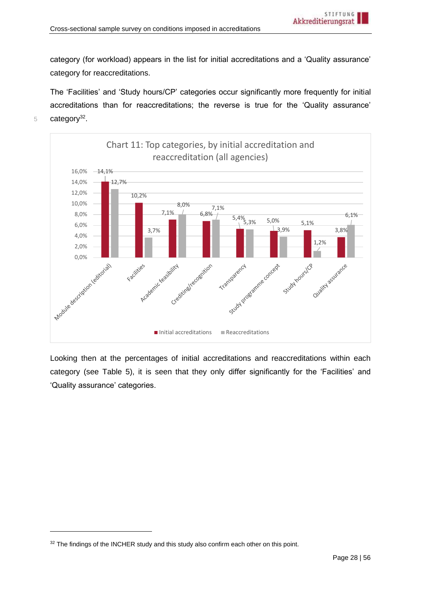category (for workload) appears in the list for initial accreditations and a 'Quality assurance' category for reaccreditations.

The 'Facilities' and 'Study hours/CP' categories occur significantly more frequently for initial accreditations than for reaccreditations; the reverse is true for the 'Quality assurance'  $5$  category<sup>32</sup>.



Looking then at the percentages of initial accreditations and reaccreditations within each category (see Table 5), it is seen that they only differ significantly for the 'Facilities' and 'Quality assurance' categories.

<sup>&</sup>lt;sup>32</sup> The findings of the INCHER study and this study also confirm each other on this point.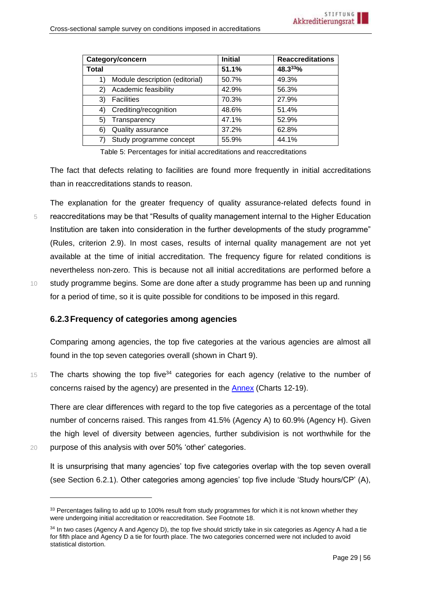|       | Category/concern               | <b>Initial</b> | <b>Reaccreditations</b> |
|-------|--------------------------------|----------------|-------------------------|
| Total |                                | 51.1%          | $48.3^{33}\%$           |
| 1)    | Module description (editorial) | 50.7%          | 49.3%                   |
| 2)    | Academic feasibility           | 42.9%          | 56.3%                   |
| 3)    | <b>Facilities</b>              | 70.3%          | 27.9%                   |
| 4)    | Crediting/recognition          | 48.6%          | 51.4%                   |
| 5)    | Transparency                   | 47.1%          | 52.9%                   |
| 6)    | Quality assurance              | 37.2%          | 62.8%                   |
|       | Study programme concept        | 55.9%          | 44.1%                   |

Table 5: Percentages for initial accreditations and reaccreditations

The fact that defects relating to facilities are found more frequently in initial accreditations than in reaccreditations stands to reason.

The explanation for the greater frequency of quality assurance-related defects found in 5 reaccreditations may be that "Results of quality management internal to the Higher Education Institution are taken into consideration in the further developments of the study programme" (Rules, criterion 2.9). In most cases, results of internal quality management are not yet available at the time of initial accreditation. The frequency figure for related conditions is nevertheless non-zero. This is because not all initial accreditations are performed before a 10 study programme begins. Some are done after a study programme has been up and running for a period of time, so it is quite possible for conditions to be imposed in this regard.

# <span id="page-28-0"></span>**6.2.3Frequency of categories among agencies**

Comparing among agencies, the top five categories at the various agencies are almost all found in the top seven categories overall (shown in Chart 9).

 $15$  The charts showing the top five<sup>34</sup> categories for each agency (relative to the number of concerns raised by the agency) are presented in the Annex (Charts 12-19).

There are clear differences with regard to the top five categories as a percentage of the total number of concerns raised. This ranges from 41.5% (Agency A) to 60.9% (Agency H). Given the high level of diversity between agencies, further subdivision is not worthwhile for the

20 purpose of this analysis with over 50% 'other' categories.

It is unsurprising that many agencies' top five categories overlap with the top seven overall (see Section [6.2.1\)](#page-22-1). Other categories among agencies' top five include 'Study hours/CP' (A),

<sup>&</sup>lt;sup>33</sup> Percentages failing to add up to 100% result from study programmes for which it is not known whether they were undergoing initial accreditation or reaccreditation. See Footnote 18.

<sup>&</sup>lt;sup>34</sup> In two cases (Agency A and Agency D), the top five should strictly take in six categories as Agency A had a tie for fifth place and Agency D a tie for fourth place. The two categories concerned were not included to avoid statistical distortion.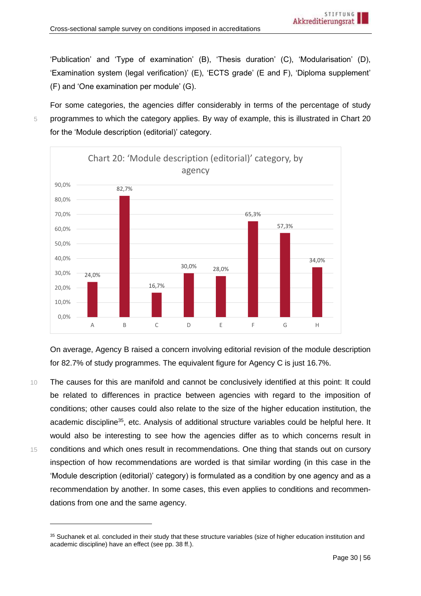'Publication' and 'Type of examination' (B), 'Thesis duration' (C), 'Modularisation' (D), 'Examination system (legal verification)' (E), 'ECTS grade' (E and F), 'Diploma supplement' (F) and 'One examination per module' (G).

For some categories, the agencies differ considerably in terms of the percentage of study 5 programmes to which the category applies. By way of example, this is illustrated in Chart 20 for the 'Module description (editorial)' category.



On average, Agency B raised a concern involving editorial revision of the module description for 82.7% of study programmes. The equivalent figure for Agency C is just 16.7%.

10 The causes for this are manifold and cannot be conclusively identified at this point: It could be related to differences in practice between agencies with regard to the imposition of conditions; other causes could also relate to the size of the higher education institution, the academic discipline<sup>35</sup>, etc. Analysis of additional structure variables could be helpful here. It would also be interesting to see how the agencies differ as to which concerns result in 15 conditions and which ones result in recommendations. One thing that stands out on cursory inspection of how recommendations are worded is that similar wording (in this case in the 'Module description (editorial)' category) is formulated as a condition by one agency and as a recommendation by another. In some cases, this even applies to conditions and recommendations from one and the same agency.

<sup>&</sup>lt;sup>35</sup> Suchanek et al. concluded in their study that these structure variables (size of higher education institution and academic discipline) have an effect (see pp. 38 ff.).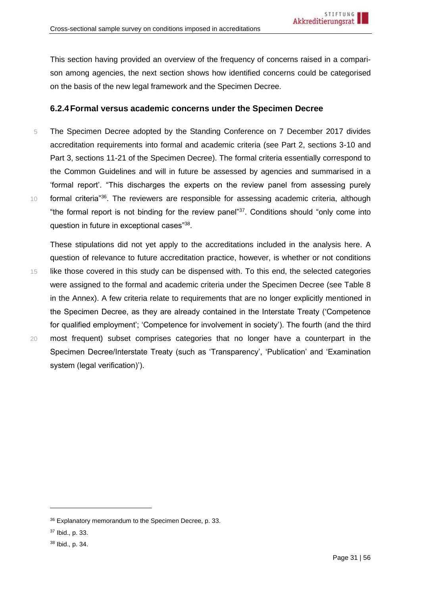This section having provided an overview of the frequency of concerns raised in a comparison among agencies, the next section shows how identified concerns could be categorised on the basis of the new legal framework and the Specimen Decree.

## <span id="page-30-0"></span>**6.2.4Formal versus academic concerns under the Specimen Decree**

5 The Specimen Decree adopted by the Standing Conference on 7 December 2017 divides accreditation requirements into formal and academic criteria (see Part 2, sections 3-10 and Part 3, sections 11-21 of the Specimen Decree). The formal criteria essentially correspond to the Common Guidelines and will in future be assessed by agencies and summarised in a 'formal report'. "This discharges the experts on the review panel from assessing purely 10 **formal criteria**<sup>"36</sup>. The reviewers are responsible for assessing academic criteria, although "the formal report is not binding for the review panel"<sup>37</sup>. Conditions should "only come into question in future in exceptional cases"<sup>38</sup>.

These stipulations did not yet apply to the accreditations included in the analysis here. A question of relevance to future accreditation practice, however, is whether or not conditions 15 like those covered in this study can be dispensed with. To this end, the selected categories were assigned to the formal and academic criteria under the Specimen Decree (see Table 8 in the Annex). A few criteria relate to requirements that are no longer explicitly mentioned in the Specimen Decree, as they are already contained in the Interstate Treaty ('Competence for qualified employment'; 'Competence for involvement in society'). The fourth (and the third 20 most frequent) subset comprises categories that no longer have a counterpart in the Specimen Decree/Interstate Treaty (such as 'Transparency', 'Publication' and 'Examination

36 Explanatory memorandum to the Specimen Decree, p. 33.

system (legal verification)').

<sup>37</sup> Ibid., p. 33.

<sup>38</sup> Ibid., p. 34.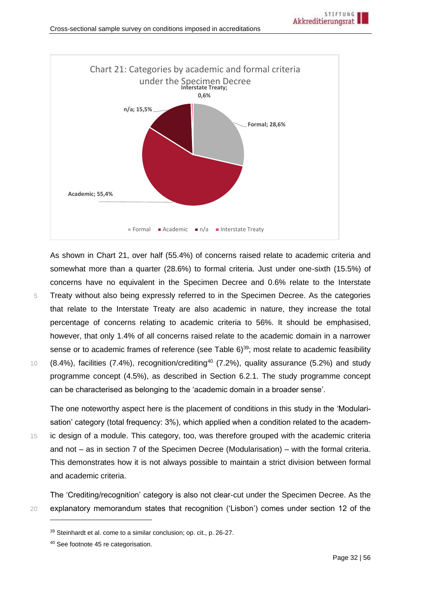

As shown in Chart 21, over half (55.4%) of concerns raised relate to academic criteria and somewhat more than a quarter (28.6%) to formal criteria. Just under one-sixth (15.5%) of concerns have no equivalent in the Specimen Decree and 0.6% relate to the Interstate

5 Treaty without also being expressly referred to in the Specimen Decree. As the categories that relate to the Interstate Treaty are also academic in nature, they increase the total percentage of concerns relating to academic criteria to 56%. It should be emphasised, however, that only 1.4% of all concerns raised relate to the academic domain in a narrower sense or to academic frames of reference (see Table 6)<sup>39</sup>; most relate to academic feasibility  $(8.4\%)$ , facilities (7.4%), recognition/crediting<sup>40</sup> (7.2%), quality assurance (5.2%) and study programme concept (4.5%), as described in Section [6.2.1.](#page-22-1) The study programme concept can be characterised as belonging to the 'academic domain in a broader sense'.

The one noteworthy aspect here is the placement of conditions in this study in the 'Modularisation' category (total frequency: 3%), which applied when a condition related to the academ-15 ic design of a module. This category, too, was therefore grouped with the academic criteria

and not – as in section 7 of the Specimen Decree (Modularisation) – with the formal criteria. This demonstrates how it is not always possible to maintain a strict division between formal and academic criteria.

The 'Crediting/recognition' category is also not clear-cut under the Specimen Decree. As the 20 explanatory memorandum states that recognition ('Lisbon') comes under section 12 of the

<sup>39</sup> Steinhardt et al. come to a similar conclusion; op. cit., p. 26-27.

<sup>40</sup> See footnot[e 45](#page-41-0) re categorisation.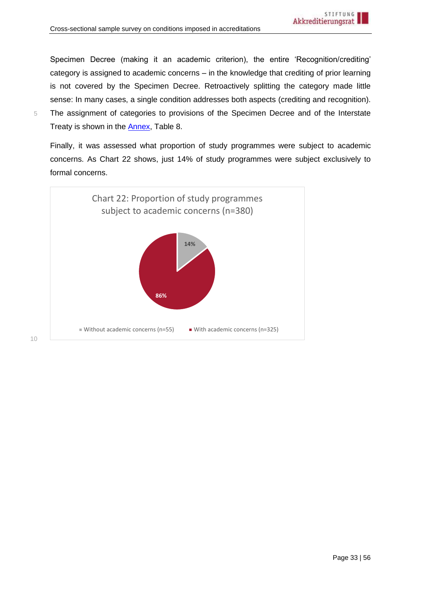Specimen Decree (making it an academic criterion), the entire 'Recognition/crediting' category is assigned to academic concerns – in the knowledge that crediting of prior learning is not covered by the Specimen Decree. Retroactively splitting the category made little sense: In many cases, a single condition addresses both aspects (crediting and recognition).

- 
- 5 The assignment of categories to provisions of the Specimen Decree and of the Interstate Treaty is shown in the **Annex**, Table 8.

Finally, it was assessed what proportion of study programmes were subject to academic concerns. As Chart 22 shows, just 14% of study programmes were subject exclusively to formal concerns.



10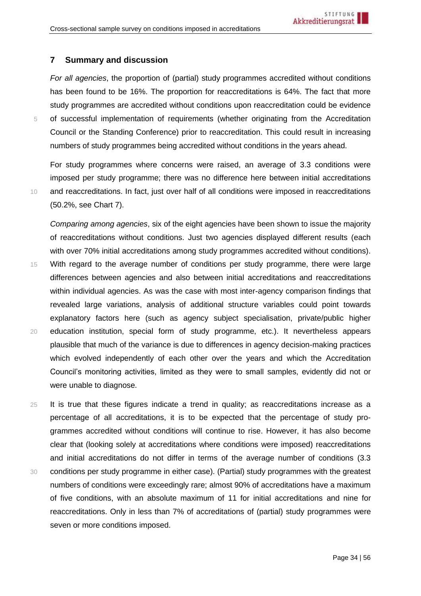## <span id="page-33-0"></span>**7 Summary and discussion**

*For all agencies*, the proportion of (partial) study programmes accredited without conditions has been found to be 16%. The proportion for reaccreditations is 64%. The fact that more study programmes are accredited without conditions upon reaccreditation could be evidence 5 of successful implementation of requirements (whether originating from the Accreditation Council or the Standing Conference) prior to reaccreditation. This could result in increasing numbers of study programmes being accredited without conditions in the years ahead.

For study programmes where concerns were raised, an average of 3.3 conditions were imposed per study programme; there was no difference here between initial accreditations 10 and reaccreditations. In fact, just over half of all conditions were imposed in reaccreditations (50.2%, see Chart 7).

*Comparing among agencies*, six of the eight agencies have been shown to issue the majority of reaccreditations without conditions. Just two agencies displayed different results (each with over 70% initial accreditations among study programmes accredited without conditions). 15 With regard to the average number of conditions per study programme, there were large differences between agencies and also between initial accreditations and reaccreditations within individual agencies. As was the case with most inter-agency comparison findings that revealed large variations, analysis of additional structure variables could point towards explanatory factors here (such as agency subject specialisation, private/public higher 20 education institution, special form of study programme, etc.). It nevertheless appears plausible that much of the variance is due to differences in agency decision-making practices which evolved independently of each other over the years and which the Accreditation Council's monitoring activities, limited as they were to small samples, evidently did not or were unable to diagnose.

25 It is true that these figures indicate a trend in quality; as reaccreditations increase as a percentage of all accreditations, it is to be expected that the percentage of study programmes accredited without conditions will continue to rise. However, it has also become clear that (looking solely at accreditations where conditions were imposed) reaccreditations and initial accreditations do not differ in terms of the average number of conditions (3.3 30 conditions per study programme in either case). (Partial) study programmes with the greatest numbers of conditions were exceedingly rare; almost 90% of accreditations have a maximum of five conditions, with an absolute maximum of 11 for initial accreditations and nine for reaccreditations. Only in less than 7% of accreditations of (partial) study programmes were seven or more conditions imposed.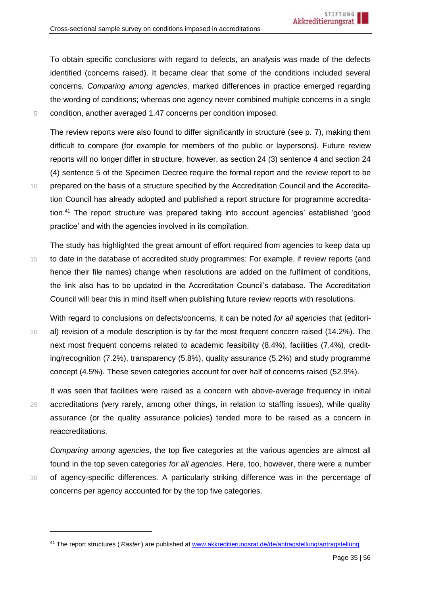To obtain specific conclusions with regard to defects, an analysis was made of the defects identified (concerns raised). It became clear that some of the conditions included several concerns. *Comparing among agencies*, marked differences in practice emerged regarding the wording of conditions; whereas one agency never combined multiple concerns in a single 5 condition, another averaged 1.47 concerns per condition imposed.

The review reports were also found to differ significantly in structure (see p. [7\)](#page-6-1), making them difficult to compare (for example for members of the public or laypersons). Future review reports will no longer differ in structure, however, as section 24 (3) sentence 4 and section 24 (4) sentence 5 of the Specimen Decree require the formal report and the review report to be 10 prepared on the basis of a structure specified by the Accreditation Council and the Accreditation Council has already adopted and published a report structure for programme accreditation.<sup>41</sup> The report structure was prepared taking into account agencies' established 'good practice' and with the agencies involved in its compilation.

The study has highlighted the great amount of effort required from agencies to keep data up 15 to date in the database of accredited study programmes: For example, if review reports (and hence their file names) change when resolutions are added on the fulfilment of conditions, the link also has to be updated in the Accreditation Council's database. The Accreditation Council will bear this in mind itself when publishing future review reports with resolutions.

With regard to conclusions on defects/concerns, it can be noted *for all agencies* that (editori-20 al) revision of a module description is by far the most frequent concern raised (14.2%). The next most frequent concerns related to academic feasibility (8.4%), facilities (7.4%), crediting/recognition (7.2%), transparency (5.8%), quality assurance (5.2%) and study programme concept (4.5%). These seven categories account for over half of concerns raised (52.9%).

It was seen that facilities were raised as a concern with above-average frequency in initial 25 accreditations (very rarely, among other things, in relation to staffing issues), while quality assurance (or the quality assurance policies) tended more to be raised as a concern in reaccreditations.

*Comparing among agencies*, the top five categories at the various agencies are almost all found in the top seven categories *for all agencies*. Here, too, however, there were a number 30 of agency-specific differences. A particularly striking difference was in the percentage of concerns per agency accounted for by the top five categories.

<sup>41</sup> The report structures (*'Raster'*) are published a[t www.akkreditierungsrat.de/de/antragstellung/antragstellung](https://www.akkreditierungsrat.de/de/antragstellung/antragstellung)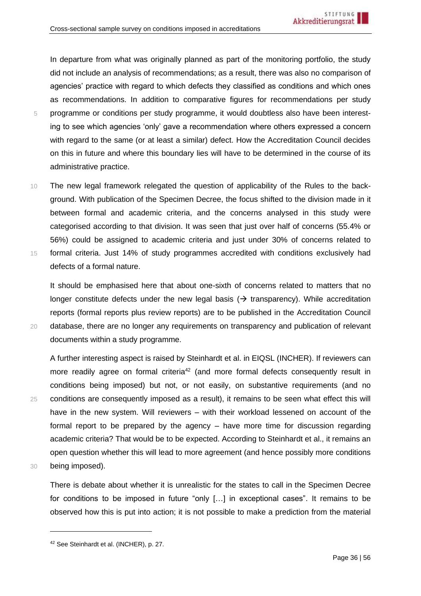In departure from what was originally planned as part of the monitoring portfolio, the study did not include an analysis of recommendations; as a result, there was also no comparison of agencies' practice with regard to which defects they classified as conditions and which ones as recommendations. In addition to comparative figures for recommendations per study 5 programme or conditions per study programme, it would doubtless also have been interesting to see which agencies 'only' gave a recommendation where others expressed a concern with regard to the same (or at least a similar) defect. How the Accreditation Council decides on this in future and where this boundary lies will have to be determined in the course of its administrative practice.

10 The new legal framework relegated the question of applicability of the Rules to the background. With publication of the Specimen Decree, the focus shifted to the division made in it between formal and academic criteria, and the concerns analysed in this study were categorised according to that division. It was seen that just over half of concerns (55.4% or 56%) could be assigned to academic criteria and just under 30% of concerns related to 15 formal criteria. Just 14% of study programmes accredited with conditions exclusively had defects of a formal nature.

It should be emphasised here that about one-sixth of concerns related to matters that no longer constitute defects under the new legal basis ( $\rightarrow$  transparency). While accreditation reports (formal reports plus review reports) are to be published in the Accreditation Council 20 database, there are no longer any requirements on transparency and publication of relevant documents within a study programme.

A further interesting aspect is raised by Steinhardt et al. in EIQSL (INCHER). If reviewers can more readily agree on formal criteria<sup>42</sup> (and more formal defects consequently result in conditions being imposed) but not, or not easily, on substantive requirements (and no 25 conditions are consequently imposed as a result), it remains to be seen what effect this will have in the new system. Will reviewers – with their workload lessened on account of the formal report to be prepared by the agency – have more time for discussion regarding academic criteria? That would be to be expected. According to Steinhardt et al., it remains an open question whether this will lead to more agreement (and hence possibly more conditions 30 being imposed).

There is debate about whether it is unrealistic for the states to call in the Specimen Decree for conditions to be imposed in future "only […] in exceptional cases". It remains to be observed how this is put into action; it is not possible to make a prediction from the material

<sup>42</sup> See Steinhardt et al. (INCHER), p. 27.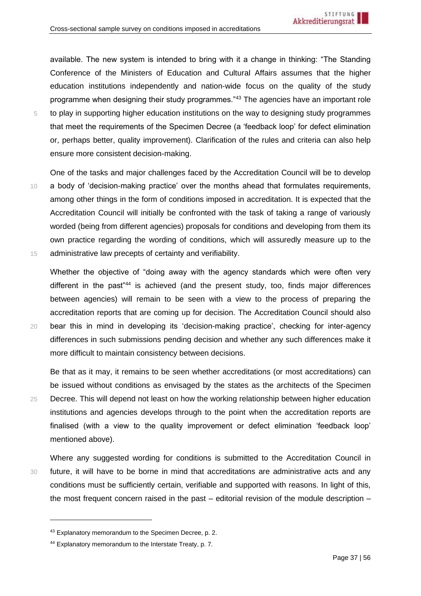available. The new system is intended to bring with it a change in thinking: "The Standing Conference of the Ministers of Education and Cultural Affairs assumes that the higher education institutions independently and nation-wide focus on the quality of the study programme when designing their study programmes."<sup>43</sup> The agencies have an important role 5 to play in supporting higher education institutions on the way to designing study programmes that meet the requirements of the Specimen Decree (a 'feedback loop' for defect elimination or, perhaps better, quality improvement). Clarification of the rules and criteria can also help ensure more consistent decision-making.

One of the tasks and major challenges faced by the Accreditation Council will be to develop 10 a body of 'decision-making practice' over the months ahead that formulates requirements, among other things in the form of conditions imposed in accreditation. It is expected that the Accreditation Council will initially be confronted with the task of taking a range of variously worded (being from different agencies) proposals for conditions and developing from them its own practice regarding the wording of conditions, which will assuredly measure up to the 15 administrative law precepts of certainty and verifiability.

Whether the objective of "doing away with the agency standards which were often very different in the past"<sup>44</sup> is achieved (and the present study, too, finds major differences between agencies) will remain to be seen with a view to the process of preparing the accreditation reports that are coming up for decision. The Accreditation Council should also 20 bear this in mind in developing its 'decision-making practice', checking for inter-agency differences in such submissions pending decision and whether any such differences make it more difficult to maintain consistency between decisions.

Be that as it may, it remains to be seen whether accreditations (or most accreditations) can be issued without conditions as envisaged by the states as the architects of the Specimen 25 Decree. This will depend not least on how the working relationship between higher education institutions and agencies develops through to the point when the accreditation reports are finalised (with a view to the quality improvement or defect elimination 'feedback loop' mentioned above).

Where any suggested wording for conditions is submitted to the Accreditation Council in 30 future, it will have to be borne in mind that accreditations are administrative acts and any conditions must be sufficiently certain, verifiable and supported with reasons. In light of this, the most frequent concern raised in the past – editorial revision of the module description –

<sup>43</sup> Explanatory memorandum to the Specimen Decree, p. 2.

<sup>44</sup> Explanatory memorandum to the Interstate Treaty, p. 7.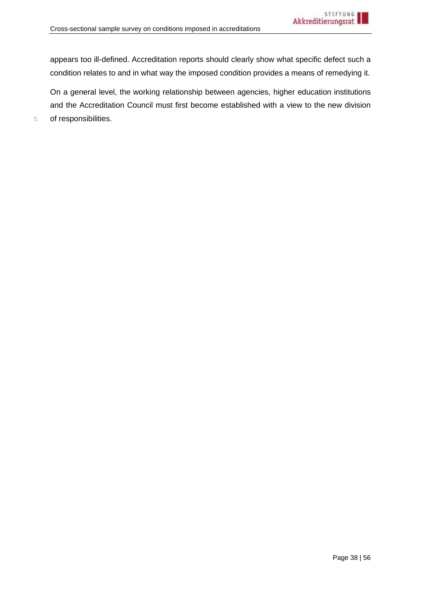appears too ill-defined. Accreditation reports should clearly show what specific defect such a condition relates to and in what way the imposed condition provides a means of remedying it.

On a general level, the working relationship between agencies, higher education institutions and the Accreditation Council must first become established with a view to the new division 5 of responsibilities.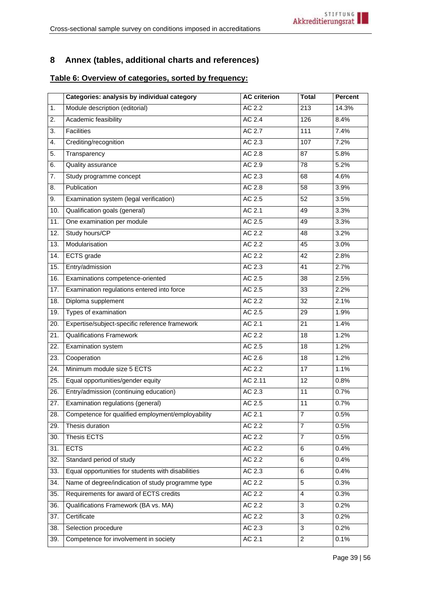# <span id="page-38-0"></span>**8 Annex (tables, additional charts and references)**

# <span id="page-38-1"></span>**Table 6: Overview of categories, sorted by frequency:**

|                  | Categories: analysis by individual category        | <b>AC criterion</b> | <b>Total</b>    | <b>Percent</b> |
|------------------|----------------------------------------------------|---------------------|-----------------|----------------|
| 1.               | Module description (editorial)                     | AC 2.2              | 213             | 14.3%          |
| 2.               | Academic feasibility                               | AC 2.4              | 126             | 8.4%           |
| $\overline{3}$ . | <b>Facilities</b>                                  | AC 2.7              | 111             | 7.4%           |
| 4.               | Crediting/recognition                              | AC 2.3              | 107             | 7.2%           |
| 5.               | Transparency                                       | AC 2.8              | 87              | 5.8%           |
| 6.               | Quality assurance                                  | AC 2.9              | 78              | 5.2%           |
| 7.               | Study programme concept                            | AC 2.3              | 68              | 4.6%           |
| 8.               | Publication                                        | AC 2.8              | 58              | 3.9%           |
| 9.               | Examination system (legal verification)            | AC 2.5              | 52              | 3.5%           |
| 10.              | Qualification goals (general)                      | AC 2.1              | 49              | 3.3%           |
| 11.              | One examination per module                         | AC 2.5              | 49              | 3.3%           |
| 12.              | Study hours/CP                                     | AC 2.2              | 48              | 3.2%           |
| 13.              | Modularisation                                     | AC 2.2              | 45              | 3.0%           |
| 14.              | <b>ECTS</b> grade                                  | AC 2.2              | $\overline{42}$ | 2.8%           |
| 15.              | Entry/admission                                    | AC 2.3              | 41              | 2.7%           |
| 16.              | Examinations competence-oriented                   | AC 2.5              | 38              | 2.5%           |
| 17.              | Examination regulations entered into force         | AC 2.5              | 33              | 2.2%           |
| 18.              | Diploma supplement                                 | AC 2.2              | 32              | 2.1%           |
| 19.              | Types of examination                               | AC 2.5              | 29              | 1.9%           |
| 20.              | Expertise/subject-specific reference framework     | AC 2.1              | 21              | 1.4%           |
| 21.              | <b>Qualifications Framework</b>                    | AC 2.2              | 18              | 1.2%           |
| 22.              | Examination system                                 | AC 2.5              | 18              | 1.2%           |
| 23.              | Cooperation                                        | AC 2.6              | 18              | 1.2%           |
| 24.              | Minimum module size 5 ECTS                         | AC 2.2              | 17              | 1.1%           |
| 25.              | Equal opportunities/gender equity                  | AC 2.11             | 12              | 0.8%           |
| 26.              | Entry/admission (continuing education)             | AC 2.3              | 11              | 0.7%           |
| 27.              | Examination regulations (general)                  | AC 2.5              | 11              | 0.7%           |
| 28.              | Competence for qualified employment/employability  | AC 2.1              | $\overline{7}$  | 0.5%           |
| 29.              | Thesis duration                                    | AC 2.2              | $\overline{7}$  | 0.5%           |
| 30.              | <b>Thesis ECTS</b>                                 | AC 2.2              | $\overline{7}$  | 0.5%           |
| 31.              | <b>ECTS</b>                                        | AC 2.2              | 6               | 0.4%           |
| 32.              | Standard period of study                           | AC 2.2              | 6               | 0.4%           |
| 33.              | Equal opportunities for students with disabilities | AC 2.3              | 6               | 0.4%           |
| 34.              | Name of degree/indication of study programme type  | AC 2.2              | 5               | 0.3%           |
| 35.              | Requirements for award of ECTS credits             | AC 2.2              | 4               | 0.3%           |
| 36.              | Qualifications Framework (BA vs. MA)               | AC 2.2              | 3               | 0.2%           |
| 37.              | Certificate                                        | AC 2.2              | 3               | 0.2%           |
| 38.              | Selection procedure                                | AC 2.3              | 3               | 0.2%           |
| 39.              | Competence for involvement in society              | AC 2.1              | $\overline{2}$  | 0.1%           |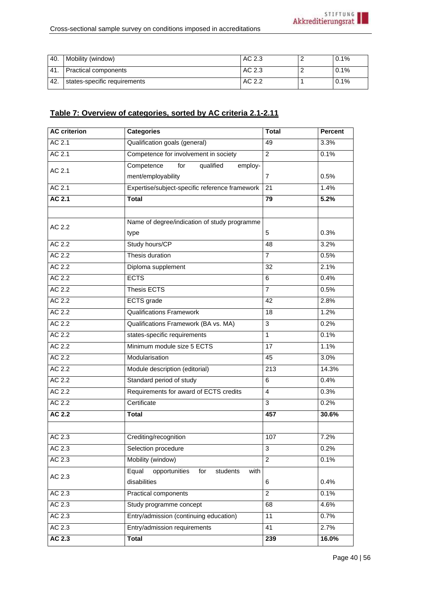| 40. | Mobility (window)            | AC 2.3 | 0.1% |
|-----|------------------------------|--------|------|
| 41. | <b>Practical components</b>  | AC 2.3 | 0.1% |
| 42. | states-specific requirements | AC 2.2 | 0.1% |

# **Table 7: Overview of categories, sorted by AC criteria 2.1-2.11**

| <b>AC</b> criterion | <b>Categories</b>                                 | <b>Total</b>   | <b>Percent</b> |
|---------------------|---------------------------------------------------|----------------|----------------|
| AC 2.1              | Qualification goals (general)                     | 49             | 3.3%           |
| AC 2.1              | Competence for involvement in society             | $\overline{2}$ | 0.1%           |
| AC 2.1              | Competence<br>for<br>qualified<br>employ-         |                |                |
|                     | ment/employability                                | $\overline{7}$ | 0.5%           |
| AC 2.1              | Expertise/subject-specific reference framework    | 21             | 1.4%           |
| AC 2.1              | <b>Total</b>                                      | 79             | 5.2%           |
|                     |                                                   |                |                |
| AC 2.2              | Name of degree/indication of study programme      |                |                |
|                     | type                                              | 5              | 0.3%           |
| AC 2.2              | Study hours/CP                                    | 48             | 3.2%           |
| AC 2.2              | Thesis duration                                   | $\overline{7}$ | 0.5%           |
| AC 2.2              | Diploma supplement                                | 32             | 2.1%           |
| AC 2.2              | <b>ECTS</b>                                       | 6              | 0.4%           |
| AC 2.2              | Thesis ECTS                                       | $\overline{7}$ | 0.5%           |
| AC 2.2              | <b>ECTS</b> grade                                 | 42             | 2.8%           |
| AC 2.2              | <b>Qualifications Framework</b>                   | 18             | 1.2%           |
| AC 2.2              | Qualifications Framework (BA vs. MA)              | 3              | 0.2%           |
| AC 2.2              | states-specific requirements                      | $\mathbf{1}$   | 0.1%           |
| AC 2.2              | Minimum module size 5 ECTS                        | 17             | 1.1%           |
| AC 2.2              | Modularisation                                    | 45             | 3.0%           |
| AC 2.2              | Module description (editorial)                    | 213            | 14.3%          |
| AC 2.2              | Standard period of study                          | 6              | 0.4%           |
| AC 2.2              | Requirements for award of ECTS credits            | $\overline{4}$ | 0.3%           |
| AC 2.2              | Certificate                                       | $\overline{3}$ | 0.2%           |
| <b>AC 2.2</b>       | <b>Total</b>                                      | 457            | 30.6%          |
|                     |                                                   |                |                |
| AC 2.3              | Crediting/recognition                             | 107            | 7.2%           |
| AC 2.3              | Selection procedure                               | 3              | 0.2%           |
| AC 2.3              | Mobility (window)                                 | $\overline{a}$ | 0.1%           |
| AC 2.3              | Equal<br>opportunities<br>students<br>with<br>for |                |                |
|                     | disabilities                                      | 6              | 0.4%           |
| AC 2.3              | <b>Practical components</b>                       | $\overline{2}$ | 0.1%           |
| AC 2.3              | Study programme concept                           | 68             | 4.6%           |
| AC 2.3              | Entry/admission (continuing education)            | 11             | 0.7%           |
| AC 2.3              | Entry/admission requirements                      | 41             | 2.7%           |
| AC 2.3              | <b>Total</b>                                      | 239            | 16.0%          |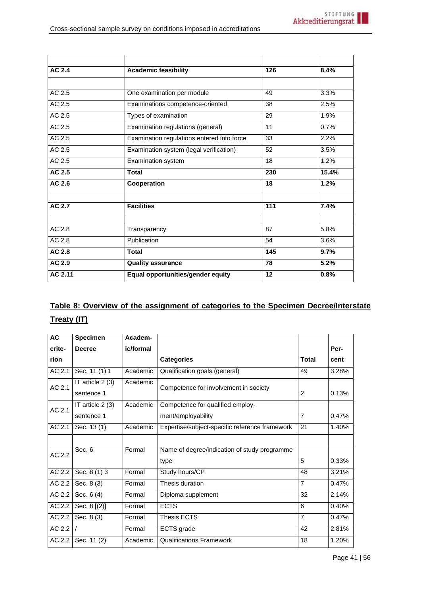| AC 2.4        | <b>Academic feasibility</b>                | 126 | 8.4%  |
|---------------|--------------------------------------------|-----|-------|
|               |                                            |     |       |
| AC 2.5        | One examination per module                 | 49  | 3.3%  |
| AC 2.5        | Examinations competence-oriented           | 38  | 2.5%  |
| AC 2.5        | Types of examination                       | 29  | 1.9%  |
| AC 2.5        | Examination regulations (general)          | 11  | 0.7%  |
| AC 2.5        | Examination regulations entered into force | 33  | 2.2%  |
| AC 2.5        | Examination system (legal verification)    | 52  | 3.5%  |
| AC 2.5        | Examination system                         | 18  | 1.2%  |
| AC 2.5        | <b>Total</b>                               | 230 | 15.4% |
| AC 2.6        | Cooperation                                | 18  | 1.2%  |
| <b>AC 2.7</b> | <b>Facilities</b>                          | 111 | 7.4%  |
| AC 2.8        | Transparency                               | 87  | 5.8%  |
| AC 2.8        | Publication                                | 54  | 3.6%  |
| AC 2.8        | <b>Total</b>                               | 145 | 9.7%  |
| AC 2.9        | <b>Quality assurance</b>                   | 78  | 5.2%  |
| AC 2.11       | Equal opportunities/gender equity          | 12  | 0.8%  |

# **Table 8: Overview of the assignment of categories to the Specimen Decree/Interstate Treaty (IT)**

| <b>AC</b> | <b>Specimen</b>  | Academ-   |                                                |                |       |
|-----------|------------------|-----------|------------------------------------------------|----------------|-------|
| crite-    | <b>Decree</b>    | ic/formal |                                                |                | Per-  |
| rion      |                  |           | <b>Categories</b>                              | <b>Total</b>   | cent  |
| AC 2.1    | Sec. 11 (1) 1    | Academic  | Qualification goals (general)                  | 49             | 3.28% |
| AC 2.1    | IT article 2 (3) | Academic  | Competence for involvement in society          |                |       |
|           | sentence 1       |           |                                                | 2              | 0.13% |
| AC 2.1    | IT article 2 (3) | Academic  | Competence for qualified employ-               |                |       |
|           | sentence 1       |           | ment/employability                             | $\overline{7}$ | 0.47% |
| AC 2.1    | Sec. 13 (1)      | Academic  | Expertise/subject-specific reference framework | 21             | 1.40% |
|           |                  |           |                                                |                |       |
| AC 2.2    | Sec. 6           | Formal    | Name of degree/indication of study programme   |                |       |
|           |                  |           | type                                           | 5              | 0.33% |
| AC 2.2    | Sec. 8 (1) 3     | Formal    | Study hours/CP                                 | 48             | 3.21% |
| AC 2.2    | Sec. 8 (3)       | Formal    | Thesis duration                                | $\overline{7}$ | 0.47% |
| AC 2.2    | Sec. 6 (4)       | Formal    | Diploma supplement                             | 32             | 2.14% |
| AC 2.2    | Sec. 8 [(2)]     | Formal    | <b>ECTS</b>                                    | 6              | 0.40% |
| AC 2.2    | Sec. 8 (3)       | Formal    | Thesis ECTS                                    | $\overline{7}$ | 0.47% |
| AC 2.2    |                  | Formal    | ECTS grade                                     | 42             | 2.81% |
| AC 2.2    | Sec. 11 (2)      | Academic  | <b>Qualifications Framework</b>                | 18             | 1.20% |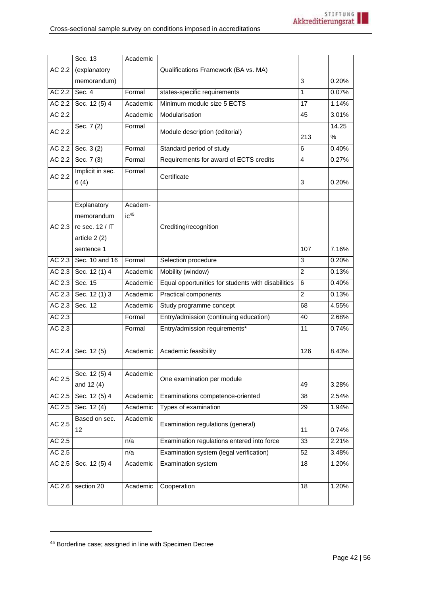<span id="page-41-0"></span>

|        | Sec. 13          | Academic         |                                                    |                |       |
|--------|------------------|------------------|----------------------------------------------------|----------------|-------|
| AC 2.2 | (explanatory     |                  | Qualifications Framework (BA vs. MA)               |                |       |
|        | memorandum)      |                  |                                                    | 3              | 0.20% |
| AC 2.2 | Sec. 4           | Formal           | states-specific requirements                       | 1              | 0.07% |
| AC 2.2 | Sec. 12 (5) 4    | Academic         | Minimum module size 5 ECTS                         | 17             | 1.14% |
| AC 2.2 |                  | Academic         | Modularisation                                     | 45             | 3.01% |
| AC 2.2 | Sec. 7 (2)       | Formal           |                                                    |                | 14.25 |
|        |                  |                  | Module description (editorial)                     | 213            | %     |
| AC 2.2 | Sec. 3 (2)       | Formal           | Standard period of study                           | 6              | 0.40% |
| AC 2.2 | Sec. $7(3)$      | Formal           | Requirements for award of ECTS credits             | $\overline{4}$ | 0.27% |
| AC 2.2 | Implicit in sec. | Formal           | Certificate                                        |                |       |
|        | 6(4)             |                  |                                                    | 3              | 0.20% |
|        |                  |                  |                                                    |                |       |
|        | Explanatory      | Academ-          |                                                    |                |       |
|        | memorandum       | iC <sup>45</sup> |                                                    |                |       |
| AC 2.3 | re sec. $12/$ IT |                  | Crediting/recognition                              |                |       |
|        | article 2 (2)    |                  |                                                    |                |       |
|        | sentence 1       |                  |                                                    | 107            | 7.16% |
| AC 2.3 | Sec. 10 and 16   | Formal           | Selection procedure                                | 3              | 0.20% |
| AC 2.3 | Sec. 12 (1) 4    | Academic         | Mobility (window)                                  | 2              | 0.13% |
| AC 2.3 | Sec. 15          | Academic         | Equal opportunities for students with disabilities | 6              | 0.40% |
| AC 2.3 | Sec. 12 (1) 3    | Academic         | Practical components                               | 2              | 0.13% |
| AC 2.3 | Sec. 12          | Academic         | Study programme concept                            | 68             | 4.55% |
| AC 2.3 |                  | Formal           | Entry/admission (continuing education)             | 40             | 2.68% |
| AC 2.3 |                  | Formal           | Entry/admission requirements*                      | 11             | 0.74% |
|        |                  |                  |                                                    |                |       |
| AC 2.4 | Sec. 12 (5)      | Academic         | Academic feasibility                               | 126            | 8.43% |
|        |                  |                  |                                                    |                |       |
| AC 2.5 | Sec. 12 (5) 4    | Academic         | One examination per module                         |                |       |
|        | and 12 (4)       |                  |                                                    | 49             | 3.28% |
| AC 2.5 | Sec. 12 (5) 4    | Academic         | Examinations competence-oriented                   | 38             | 2.54% |
| AC 2.5 | Sec. 12 (4)      | Academic         | Types of examination                               | 29             | 1.94% |
| AC 2.5 | Based on sec.    | Academic         | Examination regulations (general)                  |                |       |
|        | 12               |                  |                                                    | 11             | 0.74% |
| AC 2.5 |                  | n/a              | Examination regulations entered into force         | 33             | 2.21% |
| AC 2.5 |                  | n/a              | Examination system (legal verification)            | 52             | 3.48% |
| AC 2.5 | Sec. 12 (5) 4    | Academic         | Examination system                                 | 18             | 1.20% |
|        |                  |                  |                                                    |                |       |
| AC 2.6 | section 20       | Academic         | Cooperation                                        | 18             | 1.20% |
|        |                  |                  |                                                    |                |       |

<sup>45</sup> Borderline case; assigned in line with Specimen Decree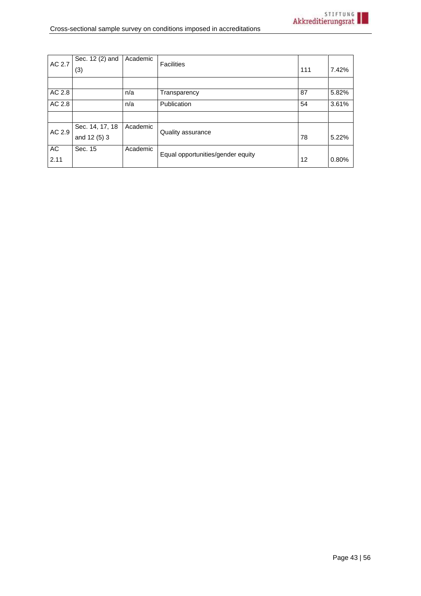| AC 2.7 | Sec. 12 (2) and | Academic | <b>Facilities</b>                 |     |       |
|--------|-----------------|----------|-----------------------------------|-----|-------|
|        | (3)             |          |                                   | 111 | 7.42% |
|        |                 |          |                                   |     |       |
| AC 2.8 |                 | n/a      | Transparency                      | 87  | 5.82% |
| AC 2.8 |                 | n/a      | Publication                       | 54  | 3.61% |
|        |                 |          |                                   |     |       |
| AC 2.9 | Sec. 14, 17, 18 | Academic | Quality assurance                 |     |       |
|        | and 12 (5) 3    |          |                                   | 78  | 5.22% |
| AC     | Sec. 15         | Academic | Equal opportunities/gender equity |     |       |
| 2.11   |                 |          |                                   | 12  | 0.80% |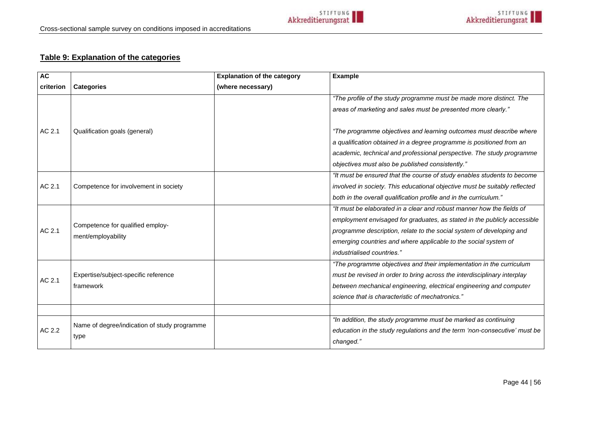# **Table 9: Explanation of the categories**

| <b>AC</b> |                                              | <b>Explanation of the category</b> | <b>Example</b>                                                             |
|-----------|----------------------------------------------|------------------------------------|----------------------------------------------------------------------------|
| criterion | <b>Categories</b>                            | (where necessary)                  |                                                                            |
|           |                                              |                                    | "The profile of the study programme must be made more distinct. The        |
|           |                                              |                                    | areas of marketing and sales must be presented more clearly."              |
| AC 2.1    | Qualification goals (general)                |                                    | "The programme objectives and learning outcomes must describe where        |
|           |                                              |                                    | a qualification obtained in a degree programme is positioned from an       |
|           |                                              |                                    | academic, technical and professional perspective. The study programme      |
|           |                                              |                                    | objectives must also be published consistently."                           |
|           |                                              |                                    | "It must be ensured that the course of study enables students to become    |
| AC 2.1    | Competence for involvement in society        |                                    | involved in society. This educational objective must be suitably reflected |
|           |                                              |                                    | both in the overall qualification profile and in the curriculum."          |
|           |                                              |                                    | "It must be elaborated in a clear and robust manner how the fields of      |
|           | Competence for qualified employ-             |                                    | employment envisaged for graduates, as stated in the publicly accessible   |
| AC 2.1    | ment/employability                           |                                    | programme description, relate to the social system of developing and       |
|           |                                              |                                    | emerging countries and where applicable to the social system of            |
|           |                                              |                                    | industrialised countries."                                                 |
|           |                                              |                                    | "The programme objectives and their implementation in the curriculum       |
| AC 2.1    | Expertise/subject-specific reference         |                                    | must be revised in order to bring across the interdisciplinary interplay   |
|           | framework                                    |                                    | between mechanical engineering, electrical engineering and computer        |
|           |                                              |                                    | science that is characteristic of mechatronics."                           |
|           |                                              |                                    |                                                                            |
|           | Name of degree/indication of study programme |                                    | "In addition, the study programme must be marked as continuing             |
| AC 2.2    | type                                         |                                    | education in the study regulations and the term 'non-consecutive' must be  |
|           |                                              |                                    | changed."                                                                  |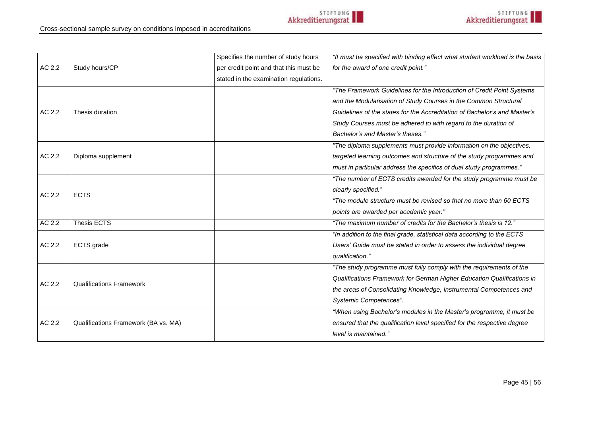|        |                                      | Specifies the number of study hours    | "It must be specified with binding effect what student workload is the basis |
|--------|--------------------------------------|----------------------------------------|------------------------------------------------------------------------------|
| AC 2.2 | Study hours/CP                       | per credit point and that this must be | for the award of one credit point."                                          |
|        |                                      | stated in the examination regulations. |                                                                              |
|        |                                      |                                        | "The Framework Guidelines for the Introduction of Credit Point Systems       |
|        |                                      |                                        | and the Modularisation of Study Courses in the Common Structural             |
| AC 2.2 | Thesis duration                      |                                        | Guidelines of the states for the Accreditation of Bachelor's and Master's    |
|        |                                      |                                        | Study Courses must be adhered to with regard to the duration of              |
|        |                                      |                                        | Bachelor's and Master's theses."                                             |
|        |                                      |                                        | "The diploma supplements must provide information on the objectives,         |
| AC 2.2 | Diploma supplement                   |                                        | targeted learning outcomes and structure of the study programmes and         |
|        |                                      |                                        | must in particular address the specifics of dual study programmes."          |
|        |                                      |                                        | "The number of ECTS credits awarded for the study programme must be          |
| AC 2.2 |                                      |                                        | clearly specified."                                                          |
|        | <b>ECTS</b>                          |                                        | "The module structure must be revised so that no more than 60 ECTS           |
|        |                                      |                                        | points are awarded per academic year."                                       |
| AC 2.2 | <b>Thesis ECTS</b>                   |                                        | "The maximum number of credits for the Bachelor's thesis is 12."             |
|        |                                      |                                        | "In addition to the final grade, statistical data according to the ECTS      |
| AC 2.2 | ECTS grade                           |                                        | Users' Guide must be stated in order to assess the individual degree         |
|        |                                      |                                        | qualification."                                                              |
|        |                                      |                                        | "The study programme must fully comply with the requirements of the          |
| AC 2.2 | <b>Qualifications Framework</b>      |                                        | Qualifications Framework for German Higher Education Qualifications in       |
|        |                                      |                                        | the areas of Consolidating Knowledge, Instrumental Competences and           |
|        |                                      |                                        | Systemic Competences".                                                       |
|        |                                      |                                        | "When using Bachelor's modules in the Master's programme, it must be         |
| AC 2.2 | Qualifications Framework (BA vs. MA) |                                        | ensured that the qualification level specified for the respective degree     |
|        |                                      |                                        | level is maintained."                                                        |
|        |                                      |                                        |                                                                              |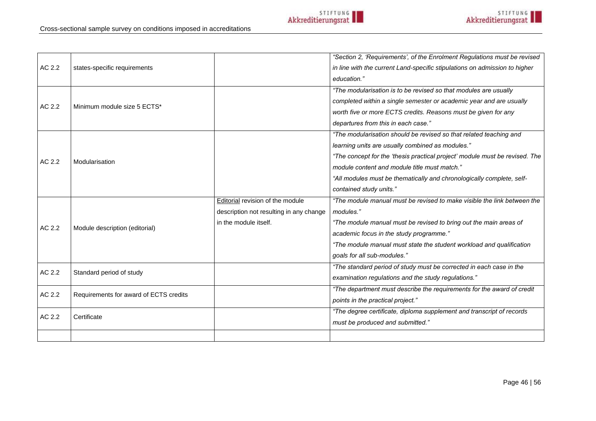|        |                                        |                                         | "Section 2, 'Requirements', of the Enrolment Requlations must be revised    |
|--------|----------------------------------------|-----------------------------------------|-----------------------------------------------------------------------------|
| AC 2.2 | states-specific requirements           |                                         | in line with the current Land-specific stipulations on admission to higher  |
|        |                                        |                                         | education."                                                                 |
|        |                                        |                                         | "The modularisation is to be revised so that modules are usually            |
| AC 2.2 | Minimum module size 5 ECTS*            |                                         | completed within a single semester or academic year and are usually         |
|        |                                        |                                         | worth five or more ECTS credits. Reasons must be given for any              |
|        |                                        |                                         | departures from this in each case."                                         |
|        |                                        |                                         | "The modularisation should be revised so that related teaching and          |
|        |                                        |                                         | learning units are usually combined as modules."                            |
| AC 2.2 | Modularisation                         |                                         | "The concept for the 'thesis practical project' module must be revised. The |
|        |                                        |                                         | module content and module title must match."                                |
|        |                                        |                                         | "All modules must be thematically and chronologically complete, self-       |
|        |                                        |                                         | contained study units."                                                     |
|        |                                        | Editorial revision of the module        | "The module manual must be revised to make visible the link between the     |
| AC 2.2 | Module description (editorial)         | description not resulting in any change | modules."                                                                   |
|        |                                        | in the module itself.                   | "The module manual must be revised to bring out the main areas of           |
|        |                                        |                                         | academic focus in the study programme."                                     |
|        |                                        |                                         | "The module manual must state the student workload and qualification        |
|        |                                        |                                         | goals for all sub-modules."                                                 |
| AC 2.2 | Standard period of study               |                                         | "The standard period of study must be corrected in each case in the         |
|        | Requirements for award of ECTS credits |                                         | examination regulations and the study regulations."                         |
| AC 2.2 |                                        |                                         | "The department must describe the requirements for the award of credit      |
|        |                                        |                                         | points in the practical project."                                           |
| AC 2.2 | Certificate                            |                                         | "The degree certificate, diploma supplement and transcript of records       |
|        |                                        |                                         | must be produced and submitted."                                            |
|        |                                        |                                         |                                                                             |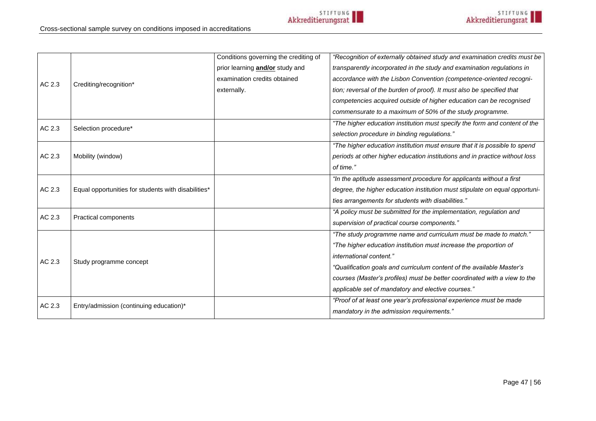|        |                                                     | Conditions governing the crediting of  | "Recognition of externally obtained study and examination credits must be   |
|--------|-----------------------------------------------------|----------------------------------------|-----------------------------------------------------------------------------|
|        |                                                     | prior learning <b>and/or</b> study and | transparently incorporated in the study and examination regulations in      |
|        |                                                     | examination credits obtained           | accordance with the Lisbon Convention (competence-oriented recogni-         |
| AC 2.3 | Crediting/recognition*                              | externally.                            | tion; reversal of the burden of proof). It must also be specified that      |
|        |                                                     |                                        | competencies acquired outside of higher education can be recognised         |
|        |                                                     |                                        | commensurate to a maximum of 50% of the study programme.                    |
| AC 2.3 |                                                     |                                        | "The higher education institution must specify the form and content of the  |
|        | Selection procedure*                                |                                        | selection procedure in binding regulations."                                |
|        |                                                     |                                        | "The higher education institution must ensure that it is possible to spend  |
| AC 2.3 | Mobility (window)                                   |                                        | periods at other higher education institutions and in practice without loss |
|        |                                                     |                                        | of time."                                                                   |
|        |                                                     |                                        | "In the aptitude assessment procedure for applicants without a first        |
| AC 2.3 | Equal opportunities for students with disabilities* |                                        | degree, the higher education institution must stipulate on equal opportuni- |
|        |                                                     |                                        | ties arrangements for students with disabilities."                          |
| AC 2.3 | Practical components                                |                                        | "A policy must be submitted for the implementation, regulation and          |
|        |                                                     |                                        | supervision of practical course components."                                |
|        |                                                     |                                        | "The study programme name and curriculum must be made to match."            |
|        | Study programme concept                             |                                        | "The higher education institution must increase the proportion of           |
| AC 2.3 |                                                     |                                        | <i>international content."</i>                                              |
|        |                                                     |                                        | "Qualification goals and curriculum content of the available Master's       |
|        |                                                     |                                        | courses (Master's profiles) must be better coordinated with a view to the   |
|        |                                                     |                                        | applicable set of mandatory and elective courses."                          |
| AC 2.3 | Entry/admission (continuing education)*             |                                        | "Proof of at least one year's professional experience must be made          |
|        |                                                     |                                        | mandatory in the admission requirements."                                   |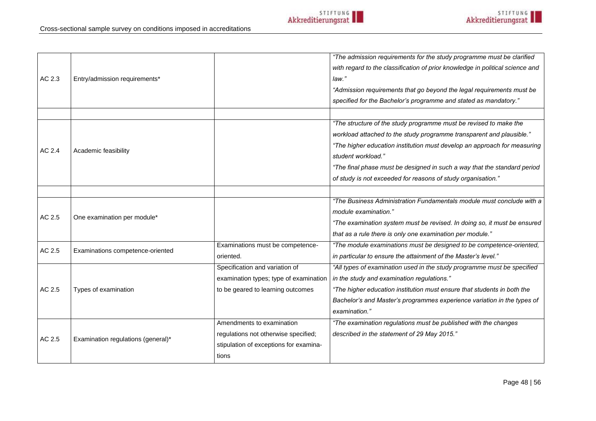Page 48 | 56

# Cross-sectional sample survey on conditions imposed in accreditations

| AC 2.3 | Entry/admission requirements*      |                                        | "The admission requirements for the study programme must be clarified<br>with regard to the classification of prior knowledge in political science and<br>law."<br>"Admission requirements that go beyond the legal requirements must be<br>specified for the Bachelor's programme and stated as mandatory." |
|--------|------------------------------------|----------------------------------------|--------------------------------------------------------------------------------------------------------------------------------------------------------------------------------------------------------------------------------------------------------------------------------------------------------------|
|        |                                    |                                        |                                                                                                                                                                                                                                                                                                              |
|        |                                    |                                        | "The structure of the study programme must be revised to make the                                                                                                                                                                                                                                            |
|        |                                    |                                        | workload attached to the study programme transparent and plausible."                                                                                                                                                                                                                                         |
| AC 2.4 | Academic feasibility               |                                        | "The higher education institution must develop an approach for measuring                                                                                                                                                                                                                                     |
|        |                                    |                                        | student workload."                                                                                                                                                                                                                                                                                           |
|        |                                    |                                        | "The final phase must be designed in such a way that the standard period                                                                                                                                                                                                                                     |
|        |                                    |                                        | of study is not exceeded for reasons of study organisation."                                                                                                                                                                                                                                                 |
|        |                                    |                                        |                                                                                                                                                                                                                                                                                                              |
|        |                                    |                                        | "The Business Administration Fundamentals module must conclude with a                                                                                                                                                                                                                                        |
| AC 2.5 | One examination per module*        |                                        | module examination."                                                                                                                                                                                                                                                                                         |
|        |                                    |                                        | "The examination system must be revised. In doing so, it must be ensured                                                                                                                                                                                                                                     |
|        |                                    |                                        | that as a rule there is only one examination per module."                                                                                                                                                                                                                                                    |
| AC 2.5 | Examinations competence-oriented   | Examinations must be competence-       | "The module examinations must be designed to be competence-oriented,                                                                                                                                                                                                                                         |
|        |                                    | oriented.                              | in particular to ensure the attainment of the Master's level."                                                                                                                                                                                                                                               |
|        |                                    | Specification and variation of         | "All types of examination used in the study programme must be specified                                                                                                                                                                                                                                      |
|        | Types of examination               | examination types; type of examination | in the study and examination regulations."                                                                                                                                                                                                                                                                   |
| AC 2.5 |                                    | to be geared to learning outcomes      | "The higher education institution must ensure that students in both the                                                                                                                                                                                                                                      |
|        |                                    |                                        | Bachelor's and Master's programmes experience variation in the types of                                                                                                                                                                                                                                      |
|        |                                    |                                        | examination."                                                                                                                                                                                                                                                                                                |
|        |                                    | Amendments to examination              | "The examination regulations must be published with the changes                                                                                                                                                                                                                                              |
| AC 2.5 | Examination regulations (general)* | regulations not otherwise specified;   | described in the statement of 29 May 2015."                                                                                                                                                                                                                                                                  |
|        |                                    | stipulation of exceptions for examina- |                                                                                                                                                                                                                                                                                                              |
|        |                                    | tions                                  |                                                                                                                                                                                                                                                                                                              |
|        |                                    |                                        |                                                                                                                                                                                                                                                                                                              |

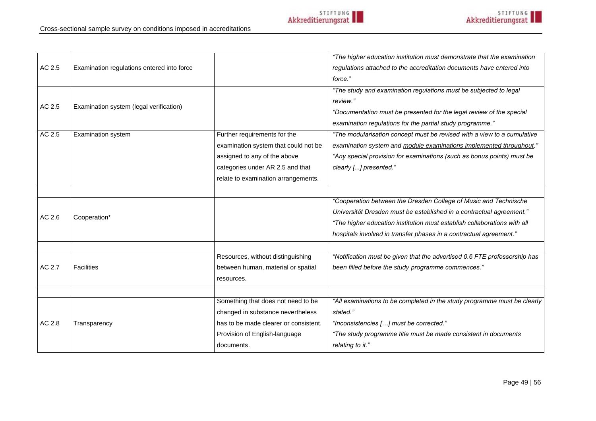Cross-sectional sample survey on conditions imposed in accreditations

| AC 2.5<br>Examination regulations entered into force<br>regulations attached to the accreditation documents have entered into<br>force."<br>"The study and examination regulations must be subjected to legal<br>review."<br>AC 2.5<br>Examination system (legal verification)<br>"Documentation must be presented for the legal review of the special<br>examination regulations for the partial study programme."<br>AC 2.5<br>Further requirements for the<br>"The modularisation concept must be revised with a view to a cumulative<br><b>Examination system</b><br>examination system that could not be<br>examination system and module examinations implemented throughout."<br>assigned to any of the above<br>"Any special provision for examinations (such as bonus points) must be<br>categories under AR 2.5 and that<br>clearly [] presented."<br>relate to examination arrangements.<br>"Cooperation between the Dresden College of Music and Technische<br>Universität Dresden must be established in a contractual agreement."<br>AC 2.6<br>Cooperation*<br>"The higher education institution must establish collaborations with all<br>hospitals involved in transfer phases in a contractual agreement."<br>"Notification must be given that the advertised 0.6 FTE professorship has<br>Resources, without distinguishing<br>AC 2.7<br>Facilities<br>been filled before the study programme commences."<br>between human, material or spatial<br>resources.<br>Something that does not need to be<br>"All examinations to be completed in the study programme must be clearly<br>changed in substance nevertheless<br>stated."<br>AC 2.8<br>has to be made clearer or consistent.<br>"Inconsistencies [] must be corrected."<br>Transparency<br>Provision of English-language<br>"The study programme title must be made consistent in documents<br>relating to it."<br>documents. |  | "The higher education institution must demonstrate that the examination |
|--------------------------------------------------------------------------------------------------------------------------------------------------------------------------------------------------------------------------------------------------------------------------------------------------------------------------------------------------------------------------------------------------------------------------------------------------------------------------------------------------------------------------------------------------------------------------------------------------------------------------------------------------------------------------------------------------------------------------------------------------------------------------------------------------------------------------------------------------------------------------------------------------------------------------------------------------------------------------------------------------------------------------------------------------------------------------------------------------------------------------------------------------------------------------------------------------------------------------------------------------------------------------------------------------------------------------------------------------------------------------------------------------------------------------------------------------------------------------------------------------------------------------------------------------------------------------------------------------------------------------------------------------------------------------------------------------------------------------------------------------------------------------------------------------------------------------------------------------------------------------------------------------------|--|-------------------------------------------------------------------------|
|                                                                                                                                                                                                                                                                                                                                                                                                                                                                                                                                                                                                                                                                                                                                                                                                                                                                                                                                                                                                                                                                                                                                                                                                                                                                                                                                                                                                                                                                                                                                                                                                                                                                                                                                                                                                                                                                                                        |  |                                                                         |
|                                                                                                                                                                                                                                                                                                                                                                                                                                                                                                                                                                                                                                                                                                                                                                                                                                                                                                                                                                                                                                                                                                                                                                                                                                                                                                                                                                                                                                                                                                                                                                                                                                                                                                                                                                                                                                                                                                        |  |                                                                         |
|                                                                                                                                                                                                                                                                                                                                                                                                                                                                                                                                                                                                                                                                                                                                                                                                                                                                                                                                                                                                                                                                                                                                                                                                                                                                                                                                                                                                                                                                                                                                                                                                                                                                                                                                                                                                                                                                                                        |  |                                                                         |
|                                                                                                                                                                                                                                                                                                                                                                                                                                                                                                                                                                                                                                                                                                                                                                                                                                                                                                                                                                                                                                                                                                                                                                                                                                                                                                                                                                                                                                                                                                                                                                                                                                                                                                                                                                                                                                                                                                        |  |                                                                         |
|                                                                                                                                                                                                                                                                                                                                                                                                                                                                                                                                                                                                                                                                                                                                                                                                                                                                                                                                                                                                                                                                                                                                                                                                                                                                                                                                                                                                                                                                                                                                                                                                                                                                                                                                                                                                                                                                                                        |  |                                                                         |
|                                                                                                                                                                                                                                                                                                                                                                                                                                                                                                                                                                                                                                                                                                                                                                                                                                                                                                                                                                                                                                                                                                                                                                                                                                                                                                                                                                                                                                                                                                                                                                                                                                                                                                                                                                                                                                                                                                        |  |                                                                         |
|                                                                                                                                                                                                                                                                                                                                                                                                                                                                                                                                                                                                                                                                                                                                                                                                                                                                                                                                                                                                                                                                                                                                                                                                                                                                                                                                                                                                                                                                                                                                                                                                                                                                                                                                                                                                                                                                                                        |  |                                                                         |
|                                                                                                                                                                                                                                                                                                                                                                                                                                                                                                                                                                                                                                                                                                                                                                                                                                                                                                                                                                                                                                                                                                                                                                                                                                                                                                                                                                                                                                                                                                                                                                                                                                                                                                                                                                                                                                                                                                        |  |                                                                         |
|                                                                                                                                                                                                                                                                                                                                                                                                                                                                                                                                                                                                                                                                                                                                                                                                                                                                                                                                                                                                                                                                                                                                                                                                                                                                                                                                                                                                                                                                                                                                                                                                                                                                                                                                                                                                                                                                                                        |  |                                                                         |
|                                                                                                                                                                                                                                                                                                                                                                                                                                                                                                                                                                                                                                                                                                                                                                                                                                                                                                                                                                                                                                                                                                                                                                                                                                                                                                                                                                                                                                                                                                                                                                                                                                                                                                                                                                                                                                                                                                        |  |                                                                         |
|                                                                                                                                                                                                                                                                                                                                                                                                                                                                                                                                                                                                                                                                                                                                                                                                                                                                                                                                                                                                                                                                                                                                                                                                                                                                                                                                                                                                                                                                                                                                                                                                                                                                                                                                                                                                                                                                                                        |  |                                                                         |
|                                                                                                                                                                                                                                                                                                                                                                                                                                                                                                                                                                                                                                                                                                                                                                                                                                                                                                                                                                                                                                                                                                                                                                                                                                                                                                                                                                                                                                                                                                                                                                                                                                                                                                                                                                                                                                                                                                        |  |                                                                         |
|                                                                                                                                                                                                                                                                                                                                                                                                                                                                                                                                                                                                                                                                                                                                                                                                                                                                                                                                                                                                                                                                                                                                                                                                                                                                                                                                                                                                                                                                                                                                                                                                                                                                                                                                                                                                                                                                                                        |  |                                                                         |
|                                                                                                                                                                                                                                                                                                                                                                                                                                                                                                                                                                                                                                                                                                                                                                                                                                                                                                                                                                                                                                                                                                                                                                                                                                                                                                                                                                                                                                                                                                                                                                                                                                                                                                                                                                                                                                                                                                        |  |                                                                         |
|                                                                                                                                                                                                                                                                                                                                                                                                                                                                                                                                                                                                                                                                                                                                                                                                                                                                                                                                                                                                                                                                                                                                                                                                                                                                                                                                                                                                                                                                                                                                                                                                                                                                                                                                                                                                                                                                                                        |  |                                                                         |
|                                                                                                                                                                                                                                                                                                                                                                                                                                                                                                                                                                                                                                                                                                                                                                                                                                                                                                                                                                                                                                                                                                                                                                                                                                                                                                                                                                                                                                                                                                                                                                                                                                                                                                                                                                                                                                                                                                        |  |                                                                         |
|                                                                                                                                                                                                                                                                                                                                                                                                                                                                                                                                                                                                                                                                                                                                                                                                                                                                                                                                                                                                                                                                                                                                                                                                                                                                                                                                                                                                                                                                                                                                                                                                                                                                                                                                                                                                                                                                                                        |  |                                                                         |
|                                                                                                                                                                                                                                                                                                                                                                                                                                                                                                                                                                                                                                                                                                                                                                                                                                                                                                                                                                                                                                                                                                                                                                                                                                                                                                                                                                                                                                                                                                                                                                                                                                                                                                                                                                                                                                                                                                        |  |                                                                         |
|                                                                                                                                                                                                                                                                                                                                                                                                                                                                                                                                                                                                                                                                                                                                                                                                                                                                                                                                                                                                                                                                                                                                                                                                                                                                                                                                                                                                                                                                                                                                                                                                                                                                                                                                                                                                                                                                                                        |  |                                                                         |
|                                                                                                                                                                                                                                                                                                                                                                                                                                                                                                                                                                                                                                                                                                                                                                                                                                                                                                                                                                                                                                                                                                                                                                                                                                                                                                                                                                                                                                                                                                                                                                                                                                                                                                                                                                                                                                                                                                        |  |                                                                         |
|                                                                                                                                                                                                                                                                                                                                                                                                                                                                                                                                                                                                                                                                                                                                                                                                                                                                                                                                                                                                                                                                                                                                                                                                                                                                                                                                                                                                                                                                                                                                                                                                                                                                                                                                                                                                                                                                                                        |  |                                                                         |
|                                                                                                                                                                                                                                                                                                                                                                                                                                                                                                                                                                                                                                                                                                                                                                                                                                                                                                                                                                                                                                                                                                                                                                                                                                                                                                                                                                                                                                                                                                                                                                                                                                                                                                                                                                                                                                                                                                        |  |                                                                         |
|                                                                                                                                                                                                                                                                                                                                                                                                                                                                                                                                                                                                                                                                                                                                                                                                                                                                                                                                                                                                                                                                                                                                                                                                                                                                                                                                                                                                                                                                                                                                                                                                                                                                                                                                                                                                                                                                                                        |  |                                                                         |
|                                                                                                                                                                                                                                                                                                                                                                                                                                                                                                                                                                                                                                                                                                                                                                                                                                                                                                                                                                                                                                                                                                                                                                                                                                                                                                                                                                                                                                                                                                                                                                                                                                                                                                                                                                                                                                                                                                        |  |                                                                         |
|                                                                                                                                                                                                                                                                                                                                                                                                                                                                                                                                                                                                                                                                                                                                                                                                                                                                                                                                                                                                                                                                                                                                                                                                                                                                                                                                                                                                                                                                                                                                                                                                                                                                                                                                                                                                                                                                                                        |  |                                                                         |
|                                                                                                                                                                                                                                                                                                                                                                                                                                                                                                                                                                                                                                                                                                                                                                                                                                                                                                                                                                                                                                                                                                                                                                                                                                                                                                                                                                                                                                                                                                                                                                                                                                                                                                                                                                                                                                                                                                        |  |                                                                         |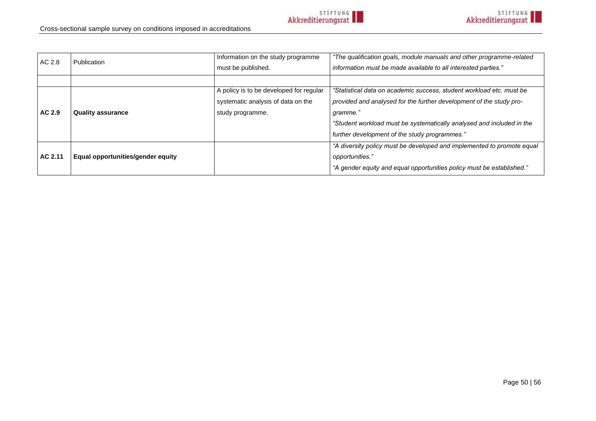| AC 2.8  | Publication                       | Information on the study programme      | "The qualification goals, module manuals and other programme-related   |
|---------|-----------------------------------|-----------------------------------------|------------------------------------------------------------------------|
|         |                                   | must be published.                      | information must be made available to all interested parties."         |
|         |                                   |                                         |                                                                        |
|         |                                   | A policy is to be developed for regular | "Statistical data on academic success, student workload etc. must be   |
|         |                                   | systematic analysis of data on the      | provided and analysed for the further development of the study pro-    |
| AC 2.9  | <b>Quality assurance</b>          | study programme.                        | gramme.'                                                               |
|         |                                   |                                         | "Student workload must be systematically analysed and included in the  |
|         |                                   |                                         | further development of the study programmes."                          |
|         |                                   |                                         | "A diversity policy must be developed and implemented to promote equal |
| AC 2.11 | Equal opportunities/gender equity |                                         | opportunities."                                                        |
|         |                                   |                                         | "A gender equity and equal opportunities policy must be established."  |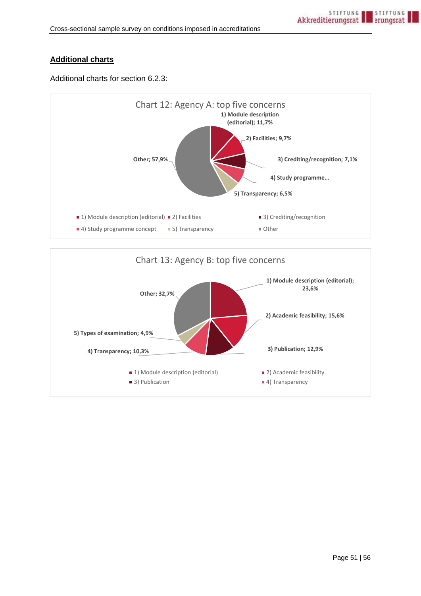## **Additional charts**

Additional charts for section [6.2.3:](#page-28-0)



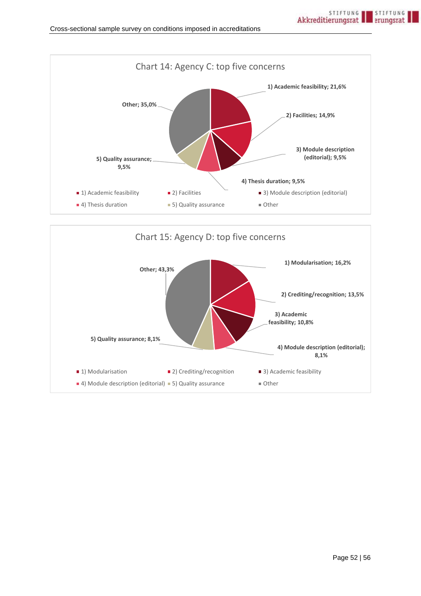

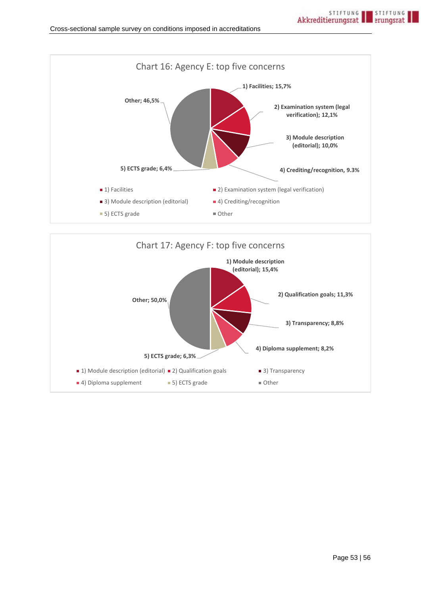

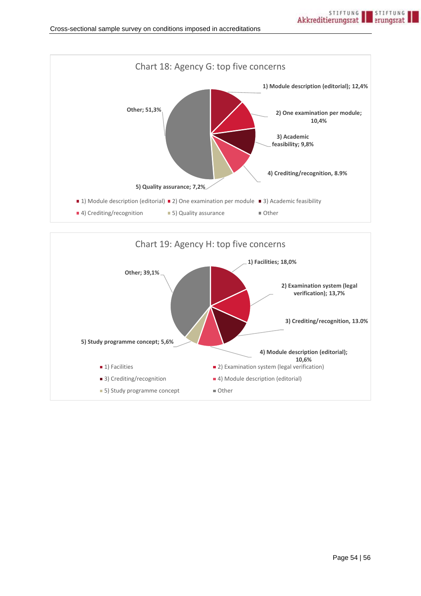

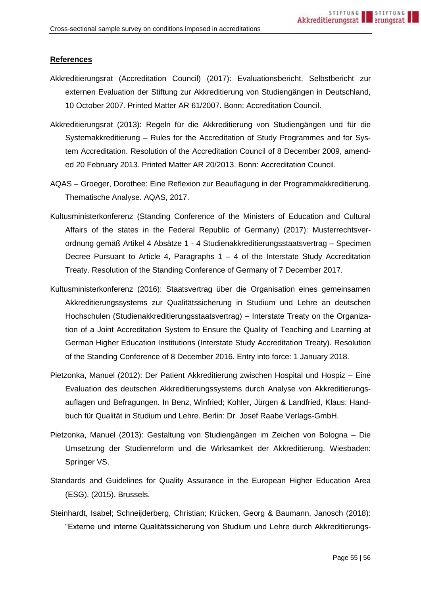#### **References**

- Akkreditierungsrat (Accreditation Council) (2017): Evaluationsbericht. Selbstbericht zur externen Evaluation der Stiftung zur Akkreditierung von Studiengängen in Deutschland, 10 October 2007. Printed Matter AR 61/2007. Bonn: Accreditation Council.
- Akkreditierungsrat (2013): Regeln für die Akkreditierung von Studiengängen und für die Systemakkreditierung – Rules for the Accreditation of Study Programmes and for System Accreditation. Resolution of the Accreditation Council of 8 December 2009, amended 20 February 2013. Printed Matter AR 20/2013. Bonn: Accreditation Council.
- AQAS Groeger, Dorothee: Eine Reflexion zur Beauflagung in der Programmakkreditierung. Thematische Analyse. AQAS, 2017.
- Kultusministerkonferenz (Standing Conference of the Ministers of Education and Cultural Affairs of the states in the Federal Republic of Germany) (2017): Musterrechtsverordnung gemäß Artikel 4 Absätze 1 - 4 Studienakkreditierungsstaatsvertrag – Specimen Decree Pursuant to Article 4, Paragraphs  $1 - 4$  of the Interstate Study Accreditation Treaty. Resolution of the Standing Conference of Germany of 7 December 2017.
- Kultusministerkonferenz (2016): Staatsvertrag über die Organisation eines gemeinsamen Akkreditierungssystems zur Qualitätssicherung in Studium und Lehre an deutschen Hochschulen (Studienakkreditierungsstaatsvertrag) – Interstate Treaty on the Organization of a Joint Accreditation System to Ensure the Quality of Teaching and Learning at German Higher Education Institutions (Interstate Study Accreditation Treaty). Resolution of the Standing Conference of 8 December 2016. Entry into force: 1 January 2018.
- Pietzonka, Manuel (2012): Der Patient Akkreditierung zwischen Hospital und Hospiz Eine Evaluation des deutschen Akkreditierungssystems durch Analyse von Akkreditierungsauflagen und Befragungen. In Benz, Winfried; Kohler, Jürgen & Landfried, Klaus: Handbuch für Qualität in Studium und Lehre. Berlin: Dr. Josef Raabe Verlags-GmbH.
- Pietzonka, Manuel (2013): Gestaltung von Studiengängen im Zeichen von Bologna Die Umsetzung der Studienreform und die Wirksamkeit der Akkreditierung. Wiesbaden: Springer VS.
- Standards and Guidelines for Quality Assurance in the European Higher Education Area (ESG). (2015). Brussels.
- Steinhardt, Isabel; Schneijderberg, Christian; Krücken, Georg & Baumann, Janosch (2018): "Externe und interne Qualitätssicherung von Studium und Lehre durch Akkreditierungs-